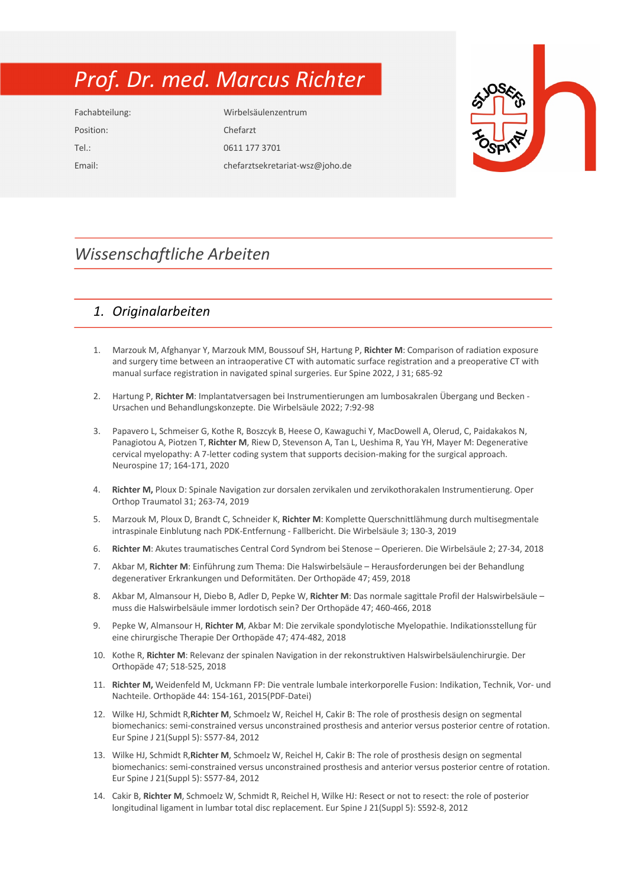# *Prof. Dr. med. Marcus Richter*

Position: Chefarzt

Fachabteilung: Wirbelsäulenzentrum Tel.: 0611 177 3701 Email: chefarztsekretariat-wsz@joho.de



## *Wissenschaftliche Arbeiten*

### *1. Originalarbeiten*

- 1. Marzouk M, Afghanyar Y, Marzouk MM, Boussouf SH, Hartung P, **Richter M**: Comparison of radiation exposure and surgery time between an intraoperative CT with automatic surface registration and a preoperative CT with manual surface registration in navigated spinal surgeries. Eur Spine 2022, J 31; 685-92
- 2. Hartung P, **Richter M**: Implantatversagen bei Instrumentierungen am lumbosakralen Übergang und Becken Ursachen und Behandlungskonzepte. Die Wirbelsäule 2022; 7:92-98
- 3. Papavero L, Schmeiser G, Kothe R, Boszcyk B, Heese O, Kawaguchi Y, MacDowell A, Olerud, C, Paidakakos N, Panagiotou A, Piotzen T, **Richter M**, Riew D, Stevenson A, Tan L, Ueshima R, Yau YH, Mayer M: Degenerative cervical myelopathy: A 7-letter coding system that supports decision-making for the surgical approach. Neurospine 17; 164-171, 2020
- 4. **Richter M,** Ploux D: Spinale Navigation zur dorsalen zervikalen und zervikothorakalen Instrumentierung. Oper Orthop Traumatol 31; 263-74, 2019
- 5. Marzouk M, Ploux D, Brandt C, Schneider K, **Richter M**: Komplette Querschnittlähmung durch multisegmentale intraspinale Einblutung nach PDK-Entfernung - Fallbericht. Die Wirbelsäule 3; 130-3, 2019
- 6. **Richter M**: Akutes traumatisches Central Cord Syndrom bei Stenose Operieren. Die Wirbelsäule 2; 27-34, 2018
- 7. Akbar M, **Richter M**: Einführung zum Thema: Die Halswirbelsäule Herausforderungen bei der Behandlung degenerativer Erkrankungen und Deformitäten. Der Orthopäde 47; 459, 2018
- 8. Akbar M, Almansour H, Diebo B, Adler D, Pepke W, **Richter M**: Das normale sagittale Profil der Halswirbelsäule muss die Halswirbelsäule immer lordotisch sein? Der Orthopäde 47; 460-466, 2018
- 9. Pepke W, Almansour H, **Richter M**, Akbar M: Die zervikale spondylotische Myelopathie. Indikationsstellung für eine chirurgische Therapie Der Orthopäde 47; 474-482, 2018
- 10. Kothe R, **Richter M**: Relevanz der spinalen Navigation in der rekonstruktiven Halswirbelsäulenchirurgie. Der Orthopäde 47; 518-525, 2018
- 11. **Richter M,** Weidenfeld M, Uckmann FP: Die ventrale lumbale interkorporelle Fusion: Indikation, Technik, Vor- und Nachteile. Orthopäde 44: 154-161, 2015(PDF-Datei)
- 12. Wilke HJ, Schmidt R,**Richter M**, Schmoelz W, Reichel H, Cakir B: The role of prosthesis design on segmental biomechanics: semi-constrained versus unconstrained prosthesis and anterior versus posterior centre of rotation. Eur Spine J 21(Suppl 5): S577-84, 2012
- 13. Wilke HJ, Schmidt R,**Richter M**, Schmoelz W, Reichel H, Cakir B: The role of prosthesis design on segmental biomechanics: semi-constrained versus unconstrained prosthesis and anterior versus posterior centre of rotation. Eur Spine J 21(Suppl 5): S577-84, 2012
- 14. Cakir B, **Richter M**, Schmoelz W, Schmidt R, Reichel H, Wilke HJ: Resect or not to resect: the role of posterior longitudinal ligament in lumbar total disc replacement. Eur Spine J 21(Suppl 5): S592-8, 2012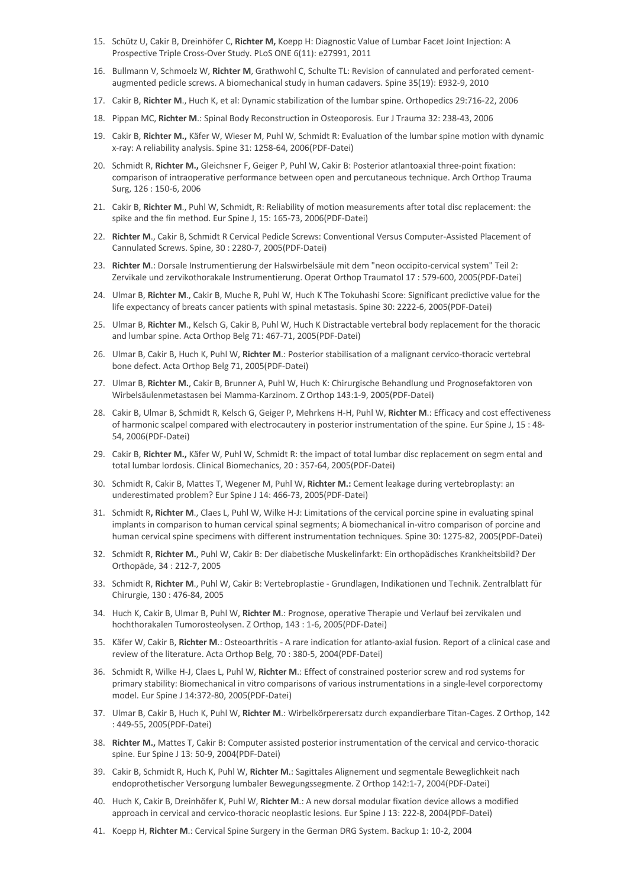- 15. Schütz U, Cakir B, Dreinhöfer C, **Richter M,** Koepp H: Diagnostic Value of Lumbar Facet Joint Injection: A Prospective Triple Cross-Over Study. PLoS ONE 6(11): e27991, 2011
- 16. Bullmann V, Schmoelz W, **Richter M**, Grathwohl C, Schulte TL: Revision of cannulated and perforated cementaugmented pedicle screws. A biomechanical study in human cadavers. Spine 35(19): E932-9, 2010
- 17. Cakir B, **Richter M**., Huch K, et al: Dynamic stabilization of the lumbar spine. Orthopedics 29:716-22, 2006
- 18. Pippan MC, **Richter M**.: Spinal Body Reconstruction in Osteoporosis. Eur J Trauma 32: 238-43, 2006
- 19. Cakir B, **Richter M.,** Käfer W, Wieser M, Puhl W, Schmidt R: Evaluation of the lumbar spine motion with dynamic x-ray: A reliability analysis. Spine 31: 1258-64, 2006(PDF-Datei)
- 20. Schmidt R, **Richter M.,** Gleichsner F, Geiger P, Puhl W, Cakir B: Posterior atlantoaxial three-point fixation: comparison of intraoperative performance between open and percutaneous technique. Arch Orthop Trauma Surg, 126 : 150-6, 2006
- 21. Cakir B, **Richter M**., Puhl W, Schmidt, R: Reliability of motion measurements after total disc replacement: the spike and the fin method. Eur Spine J, 15: 165-73, 2006(PDF-Datei)
- 22. **Richter M**., Cakir B, Schmidt R Cervical Pedicle Screws: Conventional Versus Computer-Assisted Placement of Cannulated Screws. Spine, 30 : 2280-7, 2005(PDF-Datei)
- 23. **Richter M**.: Dorsale Instrumentierung der Halswirbelsäule mit dem "neon occipito-cervical system" Teil 2: Zervikale und zervikothorakale Instrumentierung. Operat Orthop Traumatol 17 : 579-600, 2005(PDF-Datei)
- 24. Ulmar B, **Richter M**., Cakir B, Muche R, Puhl W, Huch K The Tokuhashi Score: Significant predictive value for the life expectancy of breats cancer patients with spinal metastasis. Spine 30: 2222-6, 2005(PDF-Datei)
- 25. Ulmar B, **Richter M**., Kelsch G, Cakir B, Puhl W, Huch K Distractable vertebral body replacement for the thoracic and lumbar spine. Acta Orthop Belg 71: 467-71, 2005(PDF-Datei)
- 26. Ulmar B, Cakir B, Huch K, Puhl W, **Richter M**.: Posterior stabilisation of a malignant cervico-thoracic vertebral bone defect. Acta Orthop Belg 71, 2005(PDF-Datei)
- 27. Ulmar B, **Richter M.**, Cakir B, Brunner A, Puhl W, Huch K: Chirurgische Behandlung und Prognosefaktoren von Wirbelsäulenmetastasen bei Mamma-Karzinom. Z Orthop 143:1-9, 2005(PDF-Datei)
- 28. Cakir B, Ulmar B, Schmidt R, Kelsch G, Geiger P, Mehrkens H-H, Puhl W, **Richter M**.: Efficacy and cost effectiveness of harmonic scalpel compared with electrocautery in posterior instrumentation of the spine. Eur Spine J, 15 : 48- 54, 2006(PDF-Datei)
- 29. Cakir B, **Richter M.,** Käfer W, Puhl W, Schmidt R: the impact of total lumbar disc replacement on segm ental and total lumbar lordosis. Clinical Biomechanics, 20 : 357-64, 2005(PDF-Datei)
- 30. Schmidt R, Cakir B, Mattes T, Wegener M, Puhl W, **Richter M.:** Cement leakage during vertebroplasty: an underestimated problem? Eur Spine J 14: 466-73, 2005(PDF-Datei)
- 31. Schmidt R**, Richter M**., Claes L, Puhl W, Wilke H-J: Limitations of the cervical porcine spine in evaluating spinal implants in comparison to human cervical spinal segments; A biomechanical in-vitro comparison of porcine and human cervical spine specimens with different instrumentation techniques. Spine 30: 1275-82, 2005(PDF-Datei)
- 32. Schmidt R, **Richter M.**, Puhl W, Cakir B: Der diabetische Muskelinfarkt: Ein orthopädisches Krankheitsbild? Der Orthopäde, 34 : 212-7, 2005
- 33. Schmidt R, **Richter M**., Puhl W, Cakir B: Vertebroplastie Grundlagen, Indikationen und Technik. Zentralblatt für Chirurgie, 130 : 476-84, 2005
- 34. Huch K, Cakir B, Ulmar B, Puhl W, **Richter M**.: Prognose, operative Therapie und Verlauf bei zervikalen und hochthorakalen Tumorosteolysen. Z Orthop, 143 : 1-6, 2005(PDF-Datei)
- 35. Käfer W, Cakir B, **Richter M**.: Osteoarthritis A rare indication for atlanto-axial fusion. Report of a clinical case and review of the literature. Acta Orthop Belg, 70 : 380-5, 2004(PDF-Datei)
- 36. Schmidt R, Wilke H-J, Claes L, Puhl W, **Richter M**.: Effect of constrained posterior screw and rod systems for primary stability: Biomechanical in vitro comparisons of various instrumentations in a single-level corporectomy model. Eur Spine J 14:372-80, 2005(PDF-Datei)
- 37. Ulmar B, Cakir B, Huch K, Puhl W, **Richter M**.: Wirbelkörperersatz durch expandierbare Titan-Cages. Z Orthop, 142 : 449-55, 2005(PDF-Datei)
- 38. **Richter M.,** Mattes T, Cakir B: Computer assisted posterior instrumentation of the cervical and cervico-thoracic spine. Eur Spine J 13: 50-9, 2004(PDF-Datei)
- 39. Cakir B, Schmidt R, Huch K, Puhl W, **Richter M**.: Sagittales Alignement und segmentale Beweglichkeit nach endoprothetischer Versorgung lumbaler Bewegungssegmente. Z Orthop 142:1-7, 2004(PDF-Datei)
- 40. Huch K, Cakir B, Dreinhöfer K, Puhl W, **Richter M**.: A new dorsal modular fixation device allows a modified approach in cervical and cervico-thoracic neoplastic lesions. Eur Spine J 13: 222-8, 2004(PDF-Datei)
- 41. Koepp H, **Richter M**.: Cervical Spine Surgery in the German DRG System. Backup 1: 10-2, 2004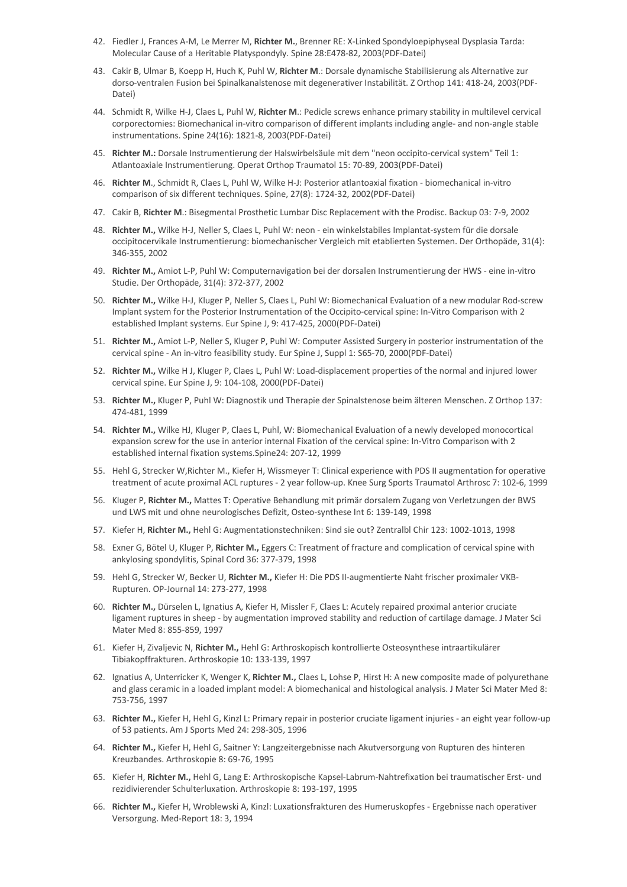- 42. Fiedler J, Frances A-M, Le Merrer M, **Richter M.**, Brenner RE: X-Linked Spondyloepiphyseal Dysplasia Tarda: Molecular Cause of a Heritable Platyspondyly. Spine 28:E478-82, 2003(PDF-Datei)
- 43. Cakir B, Ulmar B, Koepp H, Huch K, Puhl W, **Richter M**.: Dorsale dynamische Stabilisierung als Alternative zur dorso-ventralen Fusion bei Spinalkanalstenose mit degenerativer Instabilität. Z Orthop 141: 418-24, 2003(PDF-Datei)
- 44. Schmidt R, Wilke H-J, Claes L, Puhl W, **Richter M**.: Pedicle screws enhance primary stability in multilevel cervical corporectomies: Biomechanical in-vitro comparison of different implants including angle- and non-angle stable instrumentations. Spine 24(16): 1821-8, 2003(PDF-Datei)
- 45. **Richter M.:** Dorsale Instrumentierung der Halswirbelsäule mit dem "neon occipito-cervical system" Teil 1: Atlantoaxiale Instrumentierung. Operat Orthop Traumatol 15: 70-89, 2003(PDF-Datei)
- 46. **Richter M**., Schmidt R, Claes L, Puhl W, Wilke H-J: Posterior atlantoaxial fixation biomechanical in-vitro comparison of six different techniques. Spine, 27(8): 1724-32, 2002(PDF-Datei)
- 47. Cakir B, **Richter M**.: Bisegmental Prosthetic Lumbar Disc Replacement with the Prodisc. Backup 03: 7-9, 2002
- 48. **Richter M.,** Wilke H-J, Neller S, Claes L, Puhl W: neon ein winkelstabiles Implantat-system für die dorsale occipitocervikale Instrumentierung: biomechanischer Vergleich mit etablierten Systemen. Der Orthopäde, 31(4): 346-355, 2002
- 49. **Richter M.,** Amiot L-P, Puhl W: Computernavigation bei der dorsalen Instrumentierung der HWS eine in-vitro Studie. Der Orthopäde, 31(4): 372-377, 2002
- 50. **Richter M.,** Wilke H-J, Kluger P, Neller S, Claes L, Puhl W: Biomechanical Evaluation of a new modular Rod-screw Implant system for the Posterior Instrumentation of the Occipito-cervical spine: In-Vitro Comparison with 2 established Implant systems. Eur Spine J, 9: 417-425, 2000(PDF-Datei)
- 51. **Richter M.,** Amiot L-P, Neller S, Kluger P, Puhl W: Computer Assisted Surgery in posterior instrumentation of the cervical spine - An in-vitro feasibility study. Eur Spine J, Suppl 1: S65-70, 2000(PDF-Datei)
- 52. **Richter M.,** Wilke H J, Kluger P, Claes L, Puhl W: Load-displacement properties of the normal and injured lower cervical spine. Eur Spine J, 9: 104-108, 2000(PDF-Datei)
- 53. **Richter M.,** Kluger P, Puhl W: Diagnostik und Therapie der Spinalstenose beim älteren Menschen. Z Orthop 137: 474-481, 1999
- 54. **Richter M.,** Wilke HJ, Kluger P, Claes L, Puhl, W: Biomechanical Evaluation of a newly developed monocortical expansion screw for the use in anterior internal Fixation of the cervical spine: In-Vitro Comparison with 2 established internal fixation systems.Spine24: 207-12, 1999
- 55. Hehl G, Strecker W,Richter M., Kiefer H, Wissmeyer T: Clinical experience with PDS II augmentation for operative treatment of acute proximal ACL ruptures - 2 year follow-up. Knee Surg Sports Traumatol Arthrosc 7: 102-6, 1999
- 56. Kluger P, **Richter M.,** Mattes T: Operative Behandlung mit primär dorsalem Zugang von Verletzungen der BWS und LWS mit und ohne neurologisches Defizit, Osteo-synthese Int 6: 139-149, 1998
- 57. Kiefer H, **Richter M.,** Hehl G: Augmentationstechniken: Sind sie out? Zentralbl Chir 123: 1002-1013, 1998
- 58. Exner G, Bötel U, Kluger P, **Richter M.,** Eggers C: Treatment of fracture and complication of cervical spine with ankylosing spondylitis, Spinal Cord 36: 377-379, 1998
- 59. Hehl G, Strecker W, Becker U, **Richter M.,** Kiefer H: Die PDS II-augmentierte Naht frischer proximaler VKB-Rupturen. OP-Journal 14: 273-277, 1998
- 60. **Richter M.,** Dürselen L, Ignatius A, Kiefer H, Missler F, Claes L: Acutely repaired proximal anterior cruciate ligament ruptures in sheep - by augmentation improved stability and reduction of cartilage damage. J Mater Sci Mater Med 8: 855-859, 1997
- 61. Kiefer H, Zivaljevic N, **Richter M.,** Hehl G: Arthroskopisch kontrollierte Osteosynthese intraartikulärer Tibiakopffrakturen. Arthroskopie 10: 133-139, 1997
- 62. Ignatius A, Unterricker K, Wenger K, **Richter M.,** Claes L, Lohse P, Hirst H: A new composite made of polyurethane and glass ceramic in a loaded implant model: A biomechanical and histological analysis. J Mater Sci Mater Med 8: 753-756, 1997
- 63. **Richter M.,** Kiefer H, Hehl G, Kinzl L: Primary repair in posterior cruciate ligament injuries an eight year follow-up of 53 patients. Am J Sports Med 24: 298-305, 1996
- 64. **Richter M.,** Kiefer H, Hehl G, Saitner Y: Langzeitergebnisse nach Akutversorgung von Rupturen des hinteren Kreuzbandes. Arthroskopie 8: 69-76, 1995
- 65. Kiefer H, **Richter M.,** Hehl G, Lang E: Arthroskopische Kapsel-Labrum-Nahtrefixation bei traumatischer Erst- und rezidivierender Schulterluxation. Arthroskopie 8: 193-197, 1995
- 66. **Richter M.,** Kiefer H, Wroblewski A, Kinzl: Luxationsfrakturen des Humeruskopfes Ergebnisse nach operativer Versorgung. Med-Report 18: 3, 1994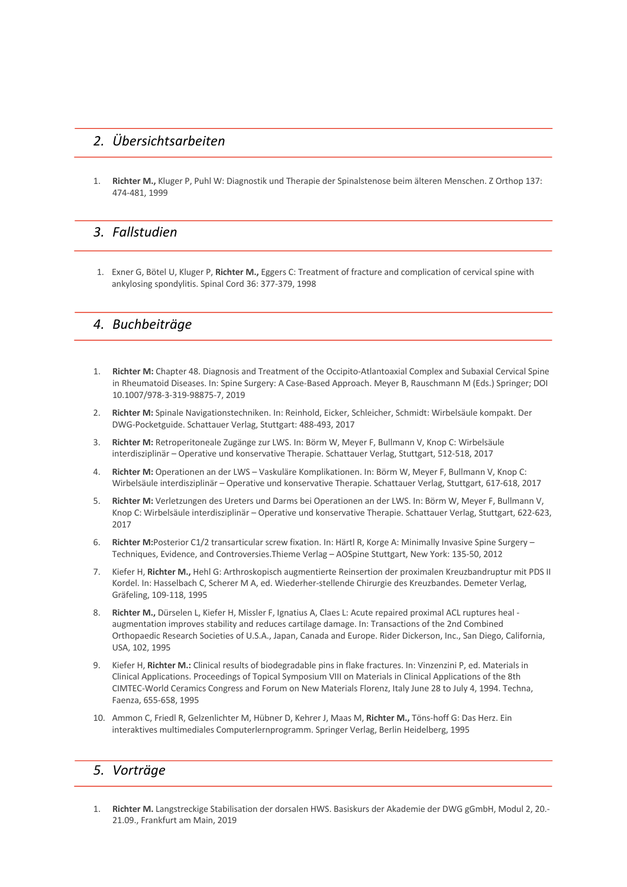#### *2. Übersichtsarbeiten*

1. **Richter M.,** Kluger P, Puhl W: Diagnostik und Therapie der Spinalstenose beim älteren Menschen. Z Orthop 137: 474-481, 1999

#### *3. Fallstudien*

1. Exner G, Bötel U, Kluger P, **Richter M.,** Eggers C: Treatment of fracture and complication of cervical spine with ankylosing spondylitis. Spinal Cord 36: 377-379, 1998

#### *4. Buchbeiträge*

- 1. **Richter M:** Chapter 48. Diagnosis and Treatment of the Occipito-Atlantoaxial Complex and Subaxial Cervical Spine in Rheumatoid Diseases. In: Spine Surgery: A Case-Based Approach. Meyer B, Rauschmann M (Eds.) Springer; DOI 10.1007/978-3-319-98875-7, 2019
- 2. **Richter M:** Spinale Navigationstechniken. In: Reinhold, Eicker, Schleicher, Schmidt: Wirbelsäule kompakt. Der DWG-Pocketguide. Schattauer Verlag, Stuttgart: 488-493, 2017
- 3. **Richter M:** Retroperitoneale Zugänge zur LWS. In: Börm W, Meyer F, Bullmann V, Knop C: Wirbelsäule interdisziplinär – Operative und konservative Therapie. Schattauer Verlag, Stuttgart, 512-518, 2017
- 4. **Richter M:** Operationen an der LWS Vaskuläre Komplikationen. In: Börm W, Meyer F, Bullmann V, Knop C: Wirbelsäule interdisziplinär – Operative und konservative Therapie. Schattauer Verlag, Stuttgart, 617-618, 2017
- 5. **Richter M:** Verletzungen des Ureters und Darms bei Operationen an der LWS. In: Börm W, Meyer F, Bullmann V, Knop C: Wirbelsäule interdisziplinär – Operative und konservative Therapie. Schattauer Verlag, Stuttgart, 622-623, 2017
- 6. **Richter M:**Posterior C1/2 transarticular screw fixation. In: Härtl R, Korge A: Minimally Invasive Spine Surgery Techniques, Evidence, and Controversies.Thieme Verlag – AOSpine Stuttgart, New York: 135-50, 2012
- 7. Kiefer H, **Richter M.,** Hehl G: Arthroskopisch augmentierte Reinsertion der proximalen Kreuzbandruptur mit PDS II Kordel. In: Hasselbach C, Scherer M A, ed. Wiederher-stellende Chirurgie des Kreuzbandes. Demeter Verlag, Gräfeling, 109-118, 1995
- 8. Richter M., Dürselen L, Kiefer H, Missler F, Ignatius A, Claes L: Acute repaired proximal ACL ruptures heal augmentation improves stability and reduces cartilage damage. In: Transactions of the 2nd Combined Orthopaedic Research Societies of U.S.A., Japan, Canada and Europe. Rider Dickerson, Inc., San Diego, California, USA, 102, 1995
- 9. Kiefer H, **Richter M.:** Clinical results of biodegradable pins in flake fractures. In: Vinzenzini P, ed. Materials in Clinical Applications. Proceedings of Topical Symposium VIII on Materials in Clinical Applications of the 8th CIMTEC-World Ceramics Congress and Forum on New Materials Florenz, Italy June 28 to July 4, 1994. Techna, Faenza, 655-658, 1995
- 10. Ammon C, Friedl R, Gelzenlichter M, Hübner D, Kehrer J, Maas M, **Richter M.,** Töns-hoff G: Das Herz. Ein interaktives multimediales Computerlernprogramm. Springer Verlag, Berlin Heidelberg, 1995

#### *5. Vorträge*

1. **Richter M.** Langstreckige Stabilisation der dorsalen HWS. Basiskurs der Akademie der DWG gGmbH, Modul 2, 20.- 21.09., Frankfurt am Main, 2019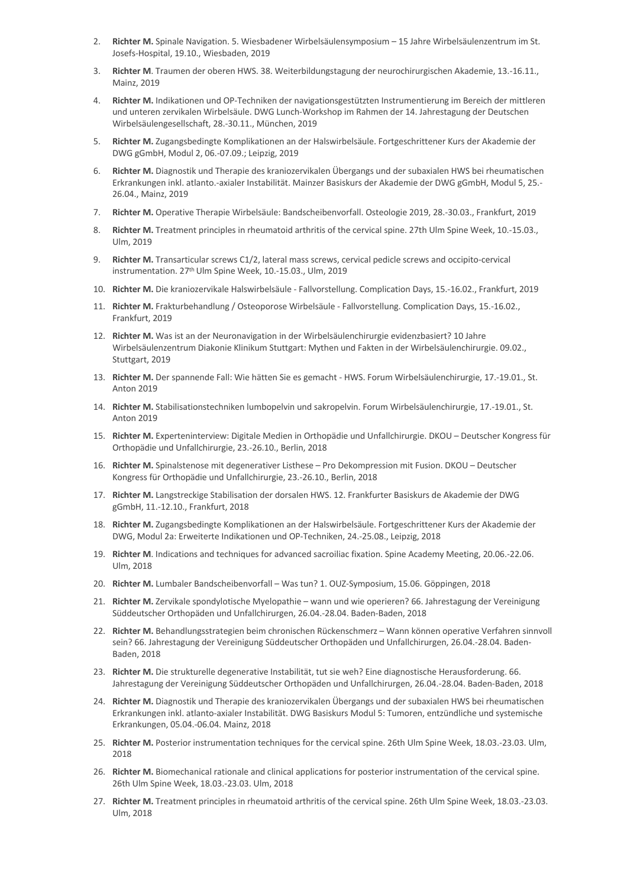- 2. **Richter M.** Spinale Navigation. 5. Wiesbadener Wirbelsäulensymposium 15 Jahre Wirbelsäulenzentrum im St. Josefs-Hospital, 19.10., Wiesbaden, 2019
- 3. **Richter M**. Traumen der oberen HWS. 38. Weiterbildungstagung der neurochirurgischen Akademie, 13.-16.11., Mainz, 2019
- 4. **Richter M.** Indikationen und OP-Techniken der navigationsgestützten Instrumentierung im Bereich der mittleren und unteren zervikalen Wirbelsäule. DWG Lunch-Workshop im Rahmen der 14. Jahrestagung der Deutschen Wirbelsäulengesellschaft, 28.-30.11., München, 2019
- 5. **Richter M.** Zugangsbedingte Komplikationen an der Halswirbelsäule. Fortgeschrittener Kurs der Akademie der DWG gGmbH, Modul 2, 06.-07.09.; Leipzig, 2019
- 6. **Richter M.** Diagnostik und Therapie des kraniozervikalen Übergangs und der subaxialen HWS bei rheumatischen Erkrankungen inkl. atlanto.-axialer Instabilität. Mainzer Basiskurs der Akademie der DWG gGmbH, Modul 5, 25.- 26.04., Mainz, 2019
- 7. **Richter M.** Operative Therapie Wirbelsäule: Bandscheibenvorfall. Osteologie 2019, 28.-30.03., Frankfurt, 2019
- 8. **Richter M.** Treatment principles in rheumatoid arthritis of the cervical spine. 27th Ulm Spine Week, 10.-15.03., Ulm, 2019
- 9. **Richter M.** Transarticular screws C1/2, lateral mass screws, cervical pedicle screws and occipito-cervical instrumentation. 27<sup>th</sup> Ulm Spine Week, 10.-15.03., Ulm, 2019
- 10. **Richter M.** Die kraniozervikale Halswirbelsäule Fallvorstellung. Complication Days, 15.-16.02., Frankfurt, 2019
- 11. **Richter M.** Frakturbehandlung / Osteoporose Wirbelsäule Fallvorstellung. Complication Days, 15.-16.02., Frankfurt, 2019
- 12. **Richter M.** Was ist an der Neuronavigation in der Wirbelsäulenchirurgie evidenzbasiert? 10 Jahre Wirbelsäulenzentrum Diakonie Klinikum Stuttgart: Mythen und Fakten in der Wirbelsäulenchirurgie. 09.02., Stuttgart, 2019
- 13. **Richter M.** Der spannende Fall: Wie hätten Sie es gemacht HWS. Forum Wirbelsäulenchirurgie, 17.-19.01., St. Anton 2019
- 14. **Richter M.** Stabilisationstechniken lumbopelvin und sakropelvin. Forum Wirbelsäulenchirurgie, 17.-19.01., St. Anton 2019
- 15. **Richter M.** Experteninterview: Digitale Medien in Orthopädie und Unfallchirurgie. DKOU Deutscher Kongress für Orthopädie und Unfallchirurgie, 23.-26.10., Berlin, 2018
- 16. **Richter M.** Spinalstenose mit degenerativer Listhese Pro Dekompression mit Fusion. DKOU Deutscher Kongress für Orthopädie und Unfallchirurgie, 23.-26.10., Berlin, 2018
- 17. **Richter M.** Langstreckige Stabilisation der dorsalen HWS. 12. Frankfurter Basiskurs de Akademie der DWG gGmbH, 11.-12.10., Frankfurt, 2018
- 18. **Richter M.** Zugangsbedingte Komplikationen an der Halswirbelsäule. Fortgeschrittener Kurs der Akademie der DWG, Modul 2a: Erweiterte Indikationen und OP-Techniken, 24.-25.08., Leipzig, 2018
- 19. **Richter M**. Indications and techniques for advanced sacroiliac fixation. Spine Academy Meeting, 20.06.-22.06. Ulm, 2018
- 20. **Richter M.** Lumbaler Bandscheibenvorfall Was tun? 1. OUZ-Symposium, 15.06. Göppingen, 2018
- 21. **Richter M.** Zervikale spondylotische Myelopathie wann und wie operieren? 66. Jahrestagung der Vereinigung Süddeutscher Orthopäden und Unfallchirurgen, 26.04.-28.04. Baden-Baden, 2018
- 22. **Richter M.** Behandlungsstrategien beim chronischen Rückenschmerz Wann können operative Verfahren sinnvoll sein? 66. Jahrestagung der Vereinigung Süddeutscher Orthopäden und Unfallchirurgen, 26.04.-28.04. Baden-Baden, 2018
- 23. **Richter M.** Die strukturelle degenerative Instabilität, tut sie weh? Eine diagnostische Herausforderung. 66. Jahrestagung der Vereinigung Süddeutscher Orthopäden und Unfallchirurgen, 26.04.-28.04. Baden-Baden, 2018
- 24. **Richter M.** Diagnostik und Therapie des kraniozervikalen Übergangs und der subaxialen HWS bei rheumatischen Erkrankungen inkl. atlanto-axialer Instabilität. DWG Basiskurs Modul 5: Tumoren, entzündliche und systemische Erkrankungen, 05.04.-06.04. Mainz, 2018
- 25. **Richter M.** Posterior instrumentation techniques for the cervical spine. 26th Ulm Spine Week, 18.03.-23.03. Ulm, 2018
- 26. **Richter M.** Biomechanical rationale and clinical applications for posterior instrumentation of the cervical spine. 26th Ulm Spine Week, 18.03.-23.03. Ulm, 2018
- 27. **Richter M.** Treatment principles in rheumatoid arthritis of the cervical spine. 26th Ulm Spine Week, 18.03.-23.03. Ulm, 2018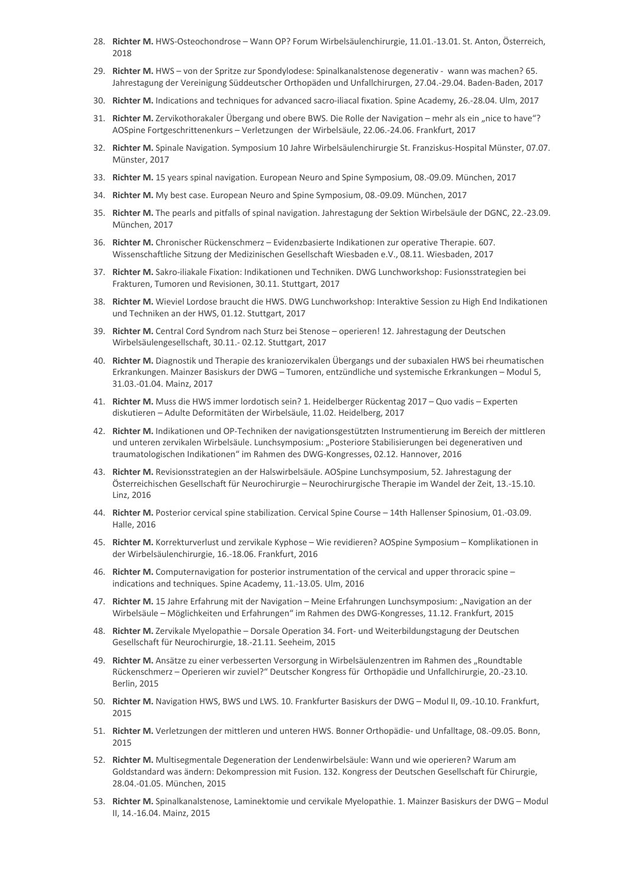- 28. **Richter M.** HWS-Osteochondrose Wann OP? Forum Wirbelsäulenchirurgie, 11.01.-13.01. St. Anton, Österreich, 2018
- 29. **Richter M.** HWS von der Spritze zur Spondylodese: Spinalkanalstenose degenerativ wann was machen? 65. Jahrestagung der Vereinigung Süddeutscher Orthopäden und Unfallchirurgen, 27.04.-29.04. Baden-Baden, 2017
- 30. **Richter M.** Indications and techniques for advanced sacro-iliacal fixation. Spine Academy, 26.-28.04. Ulm, 2017
- 31. Richter M. Zervikothorakaler Übergang und obere BWS. Die Rolle der Navigation mehr als ein "nice to have"? AOSpine Fortgeschrittenenkurs – Verletzungen der Wirbelsäule, 22.06.-24.06. Frankfurt, 2017
- 32. **Richter M.** Spinale Navigation. Symposium 10 Jahre Wirbelsäulenchirurgie St. Franziskus-Hospital Münster, 07.07. Münster, 2017
- 33. **Richter M.** 15 years spinal navigation. European Neuro and Spine Symposium, 08.-09.09. München, 2017
- 34. **Richter M.** My best case. European Neuro and Spine Symposium, 08.-09.09. München, 2017
- 35. **Richter M.** The pearls and pitfalls of spinal navigation. Jahrestagung der Sektion Wirbelsäule der DGNC, 22.-23.09. München, 2017
- 36. **Richter M.** Chronischer Rückenschmerz Evidenzbasierte Indikationen zur operative Therapie. 607. Wissenschaftliche Sitzung der Medizinischen Gesellschaft Wiesbaden e.V., 08.11. Wiesbaden, 2017
- 37. **Richter M.** Sakro-iliakale Fixation: Indikationen und Techniken. DWG Lunchworkshop: Fusionsstrategien bei Frakturen, Tumoren und Revisionen, 30.11. Stuttgart, 2017
- 38. **Richter M.** Wieviel Lordose braucht die HWS. DWG Lunchworkshop: Interaktive Session zu High End Indikationen und Techniken an der HWS, 01.12. Stuttgart, 2017
- 39. **Richter M.** Central Cord Syndrom nach Sturz bei Stenose operieren! 12. Jahrestagung der Deutschen Wirbelsäulengesellschaft, 30.11.- 02.12. Stuttgart, 2017
- 40. **Richter M.** Diagnostik und Therapie des kraniozervikalen Übergangs und der subaxialen HWS bei rheumatischen Erkrankungen. Mainzer Basiskurs der DWG – Tumoren, entzündliche und systemische Erkrankungen – Modul 5, 31.03.-01.04. Mainz, 2017
- 41. **Richter M.** Muss die HWS immer lordotisch sein? 1. Heidelberger Rückentag 2017 Quo vadis Experten diskutieren – Adulte Deformitäten der Wirbelsäule, 11.02. Heidelberg, 2017
- 42. **Richter M.** Indikationen und OP-Techniken der navigationsgestützten Instrumentierung im Bereich der mittleren und unteren zervikalen Wirbelsäule. Lunchsymposium: "Posteriore Stabilisierungen bei degenerativen und traumatologischen Indikationen" im Rahmen des DWG-Kongresses, 02.12. Hannover, 2016
- 43. **Richter M.** Revisionsstrategien an der Halswirbelsäule. AOSpine Lunchsymposium, 52. Jahrestagung der Österreichischen Gesellschaft für Neurochirurgie – Neurochirurgische Therapie im Wandel der Zeit, 13.-15.10. Linz, 2016
- 44. **Richter M.** Posterior cervical spine stabilization. Cervical Spine Course 14th Hallenser Spinosium, 01.-03.09. Halle, 2016
- 45. **Richter M.** Korrekturverlust und zervikale Kyphose Wie revidieren? AOSpine Symposium Komplikationen in der Wirbelsäulenchirurgie, 16.-18.06. Frankfurt, 2016
- 46. **Richter M.** Computernavigation for posterior instrumentation of the cervical and upper throracic spine indications and techniques. Spine Academy, 11.-13.05. Ulm, 2016
- 47. Richter M. 15 Jahre Erfahrung mit der Navigation Meine Erfahrungen Lunchsymposium: "Navigation an der Wirbelsäule – Möglichkeiten und Erfahrungen" im Rahmen des DWG-Kongresses, 11.12. Frankfurt, 2015
- 48. **Richter M.** Zervikale Myelopathie Dorsale Operation 34. Fort- und Weiterbildungstagung der Deutschen Gesellschaft für Neurochirurgie, 18.-21.11. Seeheim, 2015
- 49. Richter M. Ansätze zu einer verbesserten Versorgung in Wirbelsäulenzentren im Rahmen des "Roundtable Rückenschmerz – Operieren wir zuviel?" Deutscher Kongress für Orthopädie und Unfallchirurgie, 20.-23.10. Berlin, 2015
- 50. **Richter M.** Navigation HWS, BWS und LWS. 10. Frankfurter Basiskurs der DWG Modul II, 09.-10.10. Frankfurt, 2015
- 51. **Richter M.** Verletzungen der mittleren und unteren HWS. Bonner Orthopädie- und Unfalltage, 08.-09.05. Bonn, 2015
- 52. **Richter M.** Multisegmentale Degeneration der Lendenwirbelsäule: Wann und wie operieren? Warum am Goldstandard was ändern: Dekompression mit Fusion. 132. Kongress der Deutschen Gesellschaft für Chirurgie, 28.04.-01.05. München, 2015
- 53. **Richter M.** Spinalkanalstenose, Laminektomie und cervikale Myelopathie. 1. Mainzer Basiskurs der DWG Modul II, 14.-16.04. Mainz, 2015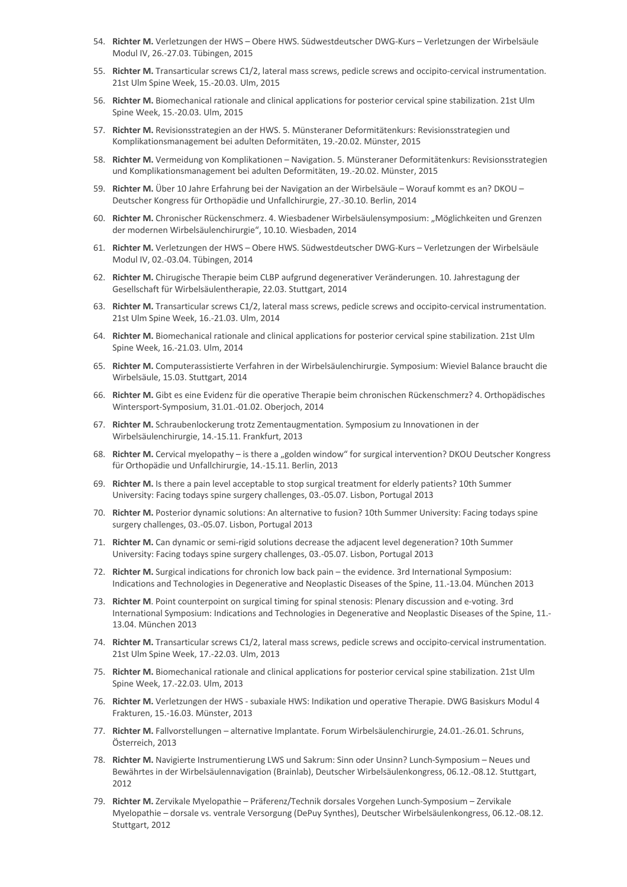- 54. **Richter M.** Verletzungen der HWS Obere HWS. Südwestdeutscher DWG-Kurs Verletzungen der Wirbelsäule Modul IV, 26.-27.03. Tübingen, 2015
- 55. **Richter M.** Transarticular screws C1/2, lateral mass screws, pedicle screws and occipito-cervical instrumentation. 21st Ulm Spine Week, 15.-20.03. Ulm, 2015
- 56. **Richter M.** Biomechanical rationale and clinical applications for posterior cervical spine stabilization. 21st Ulm Spine Week, 15.-20.03. Ulm, 2015
- 57. **Richter M.** Revisionsstrategien an der HWS. 5. Münsteraner Deformitätenkurs: Revisionsstrategien und Komplikationsmanagement bei adulten Deformitäten, 19.-20.02. Münster, 2015
- 58. **Richter M.** Vermeidung von Komplikationen Navigation. 5. Münsteraner Deformitätenkurs: Revisionsstrategien und Komplikationsmanagement bei adulten Deformitäten, 19.-20.02. Münster, 2015
- 59. **Richter M.** Über 10 Jahre Erfahrung bei der Navigation an der Wirbelsäule Worauf kommt es an? DKOU Deutscher Kongress für Orthopädie und Unfallchirurgie, 27.-30.10. Berlin, 2014
- 60. Richter M. Chronischer Rückenschmerz. 4. Wiesbadener Wirbelsäulensymposium: "Möglichkeiten und Grenzen der modernen Wirbelsäulenchirurgie", 10.10. Wiesbaden, 2014
- 61. **Richter M.** Verletzungen der HWS Obere HWS. Südwestdeutscher DWG-Kurs Verletzungen der Wirbelsäule Modul IV, 02.-03.04. Tübingen, 2014
- 62. **Richter M.** Chirugische Therapie beim CLBP aufgrund degenerativer Veränderungen. 10. Jahrestagung der Gesellschaft für Wirbelsäulentherapie, 22.03. Stuttgart, 2014
- 63. **Richter M.** Transarticular screws C1/2, lateral mass screws, pedicle screws and occipito-cervical instrumentation. 21st Ulm Spine Week, 16.-21.03. Ulm, 2014
- 64. **Richter M.** Biomechanical rationale and clinical applications for posterior cervical spine stabilization. 21st Ulm Spine Week, 16.-21.03. Ulm, 2014
- 65. **Richter M.** Computerassistierte Verfahren in der Wirbelsäulenchirurgie. Symposium: Wieviel Balance braucht die Wirbelsäule, 15.03. Stuttgart, 2014
- 66. **Richter M.** Gibt es eine Evidenz für die operative Therapie beim chronischen Rückenschmerz? 4. Orthopädisches Wintersport-Symposium, 31.01.-01.02. Oberjoch, 2014
- 67. **Richter M.** Schraubenlockerung trotz Zementaugmentation. Symposium zu Innovationen in der Wirbelsäulenchirurgie, 14.-15.11. Frankfurt, 2013
- 68. Richter M. Cervical myelopathy is there a "golden window" for surgical intervention? DKOU Deutscher Kongress für Orthopädie und Unfallchirurgie, 14.-15.11. Berlin, 2013
- 69. **Richter M.** Is there a pain level acceptable to stop surgical treatment for elderly patients? 10th Summer University: Facing todays spine surgery challenges, 03.-05.07. Lisbon, Portugal 2013
- 70. **Richter M.** Posterior dynamic solutions: An alternative to fusion? 10th Summer University: Facing todays spine surgery challenges, 03.-05.07. Lisbon, Portugal 2013
- 71. **Richter M.** Can dynamic or semi-rigid solutions decrease the adjacent level degeneration? 10th Summer University: Facing todays spine surgery challenges, 03.-05.07. Lisbon, Portugal 2013
- 72. **Richter M.** Surgical indications for chronich low back pain the evidence. 3rd International Symposium: Indications and Technologies in Degenerative and Neoplastic Diseases of the Spine, 11.-13.04. München 2013
- 73. **Richter M**. Point counterpoint on surgical timing for spinal stenosis: Plenary discussion and e-voting. 3rd International Symposium: Indications and Technologies in Degenerative and Neoplastic Diseases of the Spine, 11.- 13.04. München 2013
- 74. **Richter M.** Transarticular screws C1/2, lateral mass screws, pedicle screws and occipito-cervical instrumentation. 21st Ulm Spine Week, 17.-22.03. Ulm, 2013
- 75. **Richter M.** Biomechanical rationale and clinical applications for posterior cervical spine stabilization. 21st Ulm Spine Week, 17.-22.03. Ulm, 2013
- 76. **Richter M.** Verletzungen der HWS subaxiale HWS: Indikation und operative Therapie. DWG Basiskurs Modul 4 Frakturen, 15.-16.03. Münster, 2013
- 77. **Richter M.** Fallvorstellungen alternative Implantate. Forum Wirbelsäulenchirurgie, 24.01.-26.01. Schruns, Österreich, 2013
- 78. **Richter M.** Navigierte Instrumentierung LWS und Sakrum: Sinn oder Unsinn? Lunch-Symposium Neues und Bewährtes in der Wirbelsäulennavigation (Brainlab), Deutscher Wirbelsäulenkongress, 06.12.-08.12. Stuttgart, 2012
- 79. **Richter M.** Zervikale Myelopathie Präferenz/Technik dorsales Vorgehen Lunch-Symposium Zervikale Myelopathie – dorsale vs. ventrale Versorgung (DePuy Synthes), Deutscher Wirbelsäulenkongress, 06.12.-08.12. Stuttgart, 2012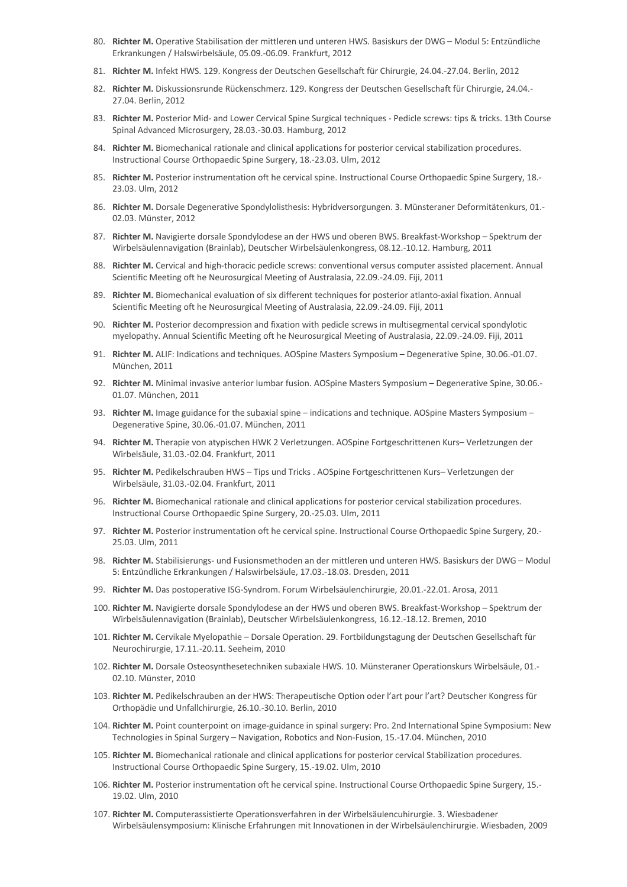- 80. **Richter M.** Operative Stabilisation der mittleren und unteren HWS. Basiskurs der DWG Modul 5: Entzündliche Erkrankungen / Halswirbelsäule, 05.09.-06.09. Frankfurt, 2012
- 81. **Richter M.** Infekt HWS. 129. Kongress der Deutschen Gesellschaft für Chirurgie, 24.04.-27.04. Berlin, 2012
- 82. **Richter M.** Diskussionsrunde Rückenschmerz. 129. Kongress der Deutschen Gesellschaft für Chirurgie, 24.04.- 27.04. Berlin, 2012
- 83. **Richter M.** Posterior Mid- and Lower Cervical Spine Surgical techniques Pedicle screws: tips & tricks. 13th Course Spinal Advanced Microsurgery, 28.03.-30.03. Hamburg, 2012
- 84. **Richter M.** Biomechanical rationale and clinical applications for posterior cervical stabilization procedures. Instructional Course Orthopaedic Spine Surgery, 18.-23.03. Ulm, 2012
- 85. **Richter M.** Posterior instrumentation oft he cervical spine. Instructional Course Orthopaedic Spine Surgery, 18.- 23.03. Ulm, 2012
- 86. **Richter M.** Dorsale Degenerative Spondylolisthesis: Hybridversorgungen. 3. Münsteraner Deformitätenkurs, 01.- 02.03. Münster, 2012
- 87. **Richter M.** Navigierte dorsale Spondylodese an der HWS und oberen BWS. Breakfast-Workshop Spektrum der Wirbelsäulennavigation (Brainlab), Deutscher Wirbelsäulenkongress, 08.12.-10.12. Hamburg, 2011
- 88. **Richter M.** Cervical and high-thoracic pedicle screws: conventional versus computer assisted placement. Annual Scientific Meeting oft he Neurosurgical Meeting of Australasia, 22.09.-24.09. Fiji, 2011
- 89. **Richter M.** Biomechanical evaluation of six different techniques for posterior atlanto-axial fixation. Annual Scientific Meeting oft he Neurosurgical Meeting of Australasia, 22.09.-24.09. Fiji, 2011
- 90. **Richter M.** Posterior decompression and fixation with pedicle screws in multisegmental cervical spondylotic myelopathy. Annual Scientific Meeting oft he Neurosurgical Meeting of Australasia, 22.09.-24.09. Fiji, 2011
- 91. **Richter M.** ALIF: Indications and techniques. AOSpine Masters Symposium Degenerative Spine, 30.06.-01.07. München, 2011
- 92. **Richter M.** Minimal invasive anterior lumbar fusion. AOSpine Masters Symposium Degenerative Spine, 30.06.- 01.07. München, 2011
- 93. **Richter M.** Image guidance for the subaxial spine indications and technique. AOSpine Masters Symposium Degenerative Spine, 30.06.-01.07. München, 2011
- 94. **Richter M.** Therapie von atypischen HWK 2 Verletzungen. AOSpine Fortgeschrittenen Kurs– Verletzungen der Wirbelsäule, 31.03.-02.04. Frankfurt, 2011
- 95. **Richter M.** Pedikelschrauben HWS Tips und Tricks . AOSpine Fortgeschrittenen Kurs– Verletzungen der Wirbelsäule, 31.03.-02.04. Frankfurt, 2011
- 96. **Richter M.** Biomechanical rationale and clinical applications for posterior cervical stabilization procedures. Instructional Course Orthopaedic Spine Surgery, 20.-25.03. Ulm, 2011
- 97. **Richter M.** Posterior instrumentation oft he cervical spine. Instructional Course Orthopaedic Spine Surgery, 20.- 25.03. Ulm, 2011
- 98. **Richter M.** Stabilisierungs- und Fusionsmethoden an der mittleren und unteren HWS. Basiskurs der DWG Modul 5: Entzündliche Erkrankungen / Halswirbelsäule, 17.03.-18.03. Dresden, 2011
- 99. **Richter M.** Das postoperative ISG-Syndrom. Forum Wirbelsäulenchirurgie, 20.01.-22.01. Arosa, 2011
- 100. **Richter M.** Navigierte dorsale Spondylodese an der HWS und oberen BWS. Breakfast-Workshop Spektrum der Wirbelsäulennavigation (Brainlab), Deutscher Wirbelsäulenkongress, 16.12.-18.12. Bremen, 2010
- 101. **Richter M.** Cervikale Myelopathie Dorsale Operation. 29. Fortbildungstagung der Deutschen Gesellschaft für Neurochirurgie, 17.11.-20.11. Seeheim, 2010
- 102. **Richter M.** Dorsale Osteosynthesetechniken subaxiale HWS. 10. Münsteraner Operationskurs Wirbelsäule, 01.- 02.10. Münster, 2010
- 103. **Richter M.** Pedikelschrauben an der HWS: Therapeutische Option oder l'art pour l'art? Deutscher Kongress für Orthopädie und Unfallchirurgie, 26.10.-30.10. Berlin, 2010
- 104. **Richter M.** Point counterpoint on image-guidance in spinal surgery: Pro. 2nd International Spine Symposium: New Technologies in Spinal Surgery – Navigation, Robotics and Non-Fusion, 15.-17.04. München, 2010
- 105. **Richter M.** Biomechanical rationale and clinical applications for posterior cervical Stabilization procedures. Instructional Course Orthopaedic Spine Surgery, 15.-19.02. Ulm, 2010
- 106. **Richter M.** Posterior instrumentation oft he cervical spine. Instructional Course Orthopaedic Spine Surgery, 15.- 19.02. Ulm, 2010
- 107. **Richter M.** Computerassistierte Operationsverfahren in der Wirbelsäulencuhirurgie. 3. Wiesbadener Wirbelsäulensymposium: Klinische Erfahrungen mit Innovationen in der Wirbelsäulenchirurgie. Wiesbaden, 2009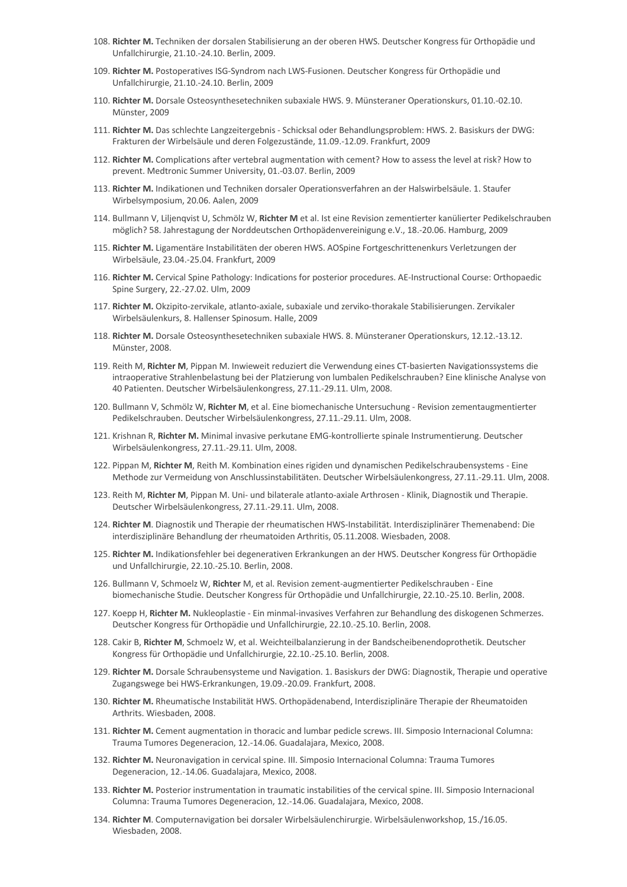- 108. **Richter M.** Techniken der dorsalen Stabilisierung an der oberen HWS. Deutscher Kongress für Orthopädie und Unfallchirurgie, 21.10.-24.10. Berlin, 2009.
- 109. **Richter M.** Postoperatives ISG-Syndrom nach LWS-Fusionen. Deutscher Kongress für Orthopädie und Unfallchirurgie, 21.10.-24.10. Berlin, 2009
- 110. **Richter M.** Dorsale Osteosynthesetechniken subaxiale HWS. 9. Münsteraner Operationskurs, 01.10.-02.10. Münster, 2009
- 111. **Richter M.** Das schlechte Langzeitergebnis Schicksal oder Behandlungsproblem: HWS. 2. Basiskurs der DWG: Frakturen der Wirbelsäule und deren Folgezustände, 11.09.-12.09. Frankfurt, 2009
- 112. **Richter M.** Complications after vertebral augmentation with cement? How to assess the level at risk? How to prevent. Medtronic Summer University, 01.-03.07. Berlin, 2009
- 113. **Richter M.** Indikationen und Techniken dorsaler Operationsverfahren an der Halswirbelsäule. 1. Staufer Wirbelsymposium, 20.06. Aalen, 2009
- 114. Bullmann V, Liljenqvist U, Schmölz W, **Richter M** et al. Ist eine Revision zementierter kanülierter Pedikelschrauben möglich? 58. Jahrestagung der Norddeutschen Orthopädenvereinigung e.V., 18.-20.06. Hamburg, 2009
- 115. **Richter M.** Ligamentäre Instabilitäten der oberen HWS. AOSpine Fortgeschrittenenkurs Verletzungen der Wirbelsäule, 23.04.-25.04. Frankfurt, 2009
- 116. **Richter M.** Cervical Spine Pathology: Indications for posterior procedures. AE-Instructional Course: Orthopaedic Spine Surgery, 22.-27.02. Ulm, 2009
- 117. **Richter M.** Okzipito-zervikale, atlanto-axiale, subaxiale und zerviko-thorakale Stabilisierungen. Zervikaler Wirbelsäulenkurs, 8. Hallenser Spinosum. Halle, 2009
- 118. **Richter M.** Dorsale Osteosynthesetechniken subaxiale HWS. 8. Münsteraner Operationskurs, 12.12.-13.12. Münster, 2008.
- 119. Reith M, **Richter M**, Pippan M. Inwieweit reduziert die Verwendung eines CT-basierten Navigationssystems die intraoperative Strahlenbelastung bei der Platzierung von lumbalen Pedikelschrauben? Eine klinische Analyse von 40 Patienten. Deutscher Wirbelsäulenkongress, 27.11.-29.11. Ulm, 2008.
- 120. Bullmann V, Schmölz W, **Richter M**, et al. Eine biomechanische Untersuchung Revision zementaugmentierter Pedikelschrauben. Deutscher Wirbelsäulenkongress, 27.11.-29.11. Ulm, 2008.
- 121. Krishnan R, **Richter M.** Minimal invasive perkutane EMG-kontrollierte spinale Instrumentierung. Deutscher Wirbelsäulenkongress, 27.11.-29.11. Ulm, 2008.
- 122. Pippan M, **Richter M**, Reith M. Kombination eines rigiden und dynamischen Pedikelschraubensystems Eine Methode zur Vermeidung von Anschlussinstabilitäten. Deutscher Wirbelsäulenkongress, 27.11.-29.11. Ulm, 2008.
- 123. Reith M, **Richter M**, Pippan M. Uni- und bilaterale atlanto-axiale Arthrosen Klinik, Diagnostik und Therapie. Deutscher Wirbelsäulenkongress, 27.11.-29.11. Ulm, 2008.
- 124. **Richter M**. Diagnostik und Therapie der rheumatischen HWS-Instabilität. Interdisziplinärer Themenabend: Die interdisziplinäre Behandlung der rheumatoiden Arthritis, 05.11.2008. Wiesbaden, 2008.
- 125. **Richter M.** Indikationsfehler bei degenerativen Erkrankungen an der HWS. Deutscher Kongress für Orthopädie und Unfallchirurgie, 22.10.-25.10. Berlin, 2008.
- 126. Bullmann V, Schmoelz W, **Richter** M, et al. Revision zement-augmentierter Pedikelschrauben Eine biomechanische Studie. Deutscher Kongress für Orthopädie und Unfallchirurgie, 22.10.-25.10. Berlin, 2008.
- 127. Koepp H, **Richter M.** Nukleoplastie Ein minmal-invasives Verfahren zur Behandlung des diskogenen Schmerzes. Deutscher Kongress für Orthopädie und Unfallchirurgie, 22.10.-25.10. Berlin, 2008.
- 128. Cakir B, **Richter M**, Schmoelz W, et al. Weichteilbalanzierung in der Bandscheibenendoprothetik. Deutscher Kongress für Orthopädie und Unfallchirurgie, 22.10.-25.10. Berlin, 2008.
- 129. **Richter M.** Dorsale Schraubensysteme und Navigation. 1. Basiskurs der DWG: Diagnostik, Therapie und operative Zugangswege bei HWS-Erkrankungen, 19.09.-20.09. Frankfurt, 2008.
- 130. **Richter M.** Rheumatische Instabilität HWS. Orthopädenabend, Interdisziplinäre Therapie der Rheumatoiden Arthrits. Wiesbaden, 2008.
- 131. **Richter M.** Cement augmentation in thoracic and lumbar pedicle screws. III. Simposio Internacional Columna: Trauma Tumores Degeneracion, 12.-14.06. Guadalajara, Mexico, 2008.
- 132. **Richter M.** Neuronavigation in cervical spine. III. Simposio Internacional Columna: Trauma Tumores Degeneracion, 12.-14.06. Guadalajara, Mexico, 2008.
- 133. **Richter M.** Posterior instrumentation in traumatic instabilities of the cervical spine. III. Simposio Internacional Columna: Trauma Tumores Degeneracion, 12.-14.06. Guadalajara, Mexico, 2008.
- 134. **Richter M**. Computernavigation bei dorsaler Wirbelsäulenchirurgie. Wirbelsäulenworkshop, 15./16.05. Wiesbaden, 2008.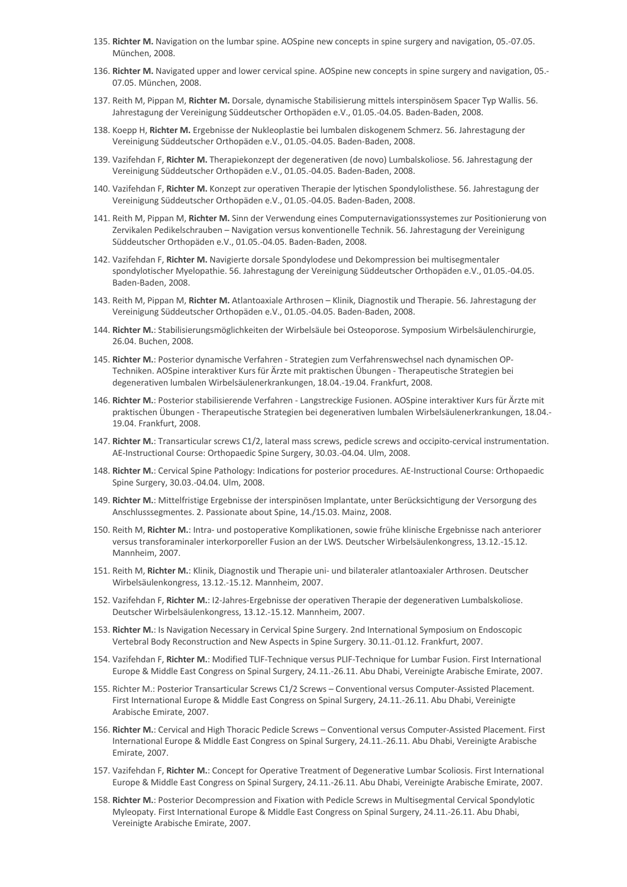- 135. **Richter M.** Navigation on the lumbar spine. AOSpine new concepts in spine surgery and navigation, 05.-07.05. München, 2008.
- 136. **Richter M.** Navigated upper and lower cervical spine. AOSpine new concepts in spine surgery and navigation, 05.- 07.05. München, 2008.
- 137. Reith M, Pippan M, **Richter M.** Dorsale, dynamische Stabilisierung mittels interspinösem Spacer Typ Wallis. 56. Jahrestagung der Vereinigung Süddeutscher Orthopäden e.V., 01.05.-04.05. Baden-Baden, 2008.
- 138. Koepp H, **Richter M.** Ergebnisse der Nukleoplastie bei lumbalen diskogenem Schmerz. 56. Jahrestagung der Vereinigung Süddeutscher Orthopäden e.V., 01.05.-04.05. Baden-Baden, 2008.
- 139. Vazifehdan F, **Richter M.** Therapiekonzept der degenerativen (de novo) Lumbalskoliose. 56. Jahrestagung der Vereinigung Süddeutscher Orthopäden e.V., 01.05.-04.05. Baden-Baden, 2008.
- 140. Vazifehdan F, **Richter M.** Konzept zur operativen Therapie der lytischen Spondylolisthese. 56. Jahrestagung der Vereinigung Süddeutscher Orthopäden e.V., 01.05.-04.05. Baden-Baden, 2008.
- 141. Reith M, Pippan M, **Richter M.** Sinn der Verwendung eines Computernavigationssystemes zur Positionierung von Zervikalen Pedikelschrauben – Navigation versus konventionelle Technik. 56. Jahrestagung der Vereinigung Süddeutscher Orthopäden e.V., 01.05.-04.05. Baden-Baden, 2008.
- 142. Vazifehdan F, **Richter M.** Navigierte dorsale Spondylodese und Dekompression bei multisegmentaler spondylotischer Myelopathie. 56. Jahrestagung der Vereinigung Süddeutscher Orthopäden e.V., 01.05.-04.05. Baden-Baden, 2008.
- 143. Reith M, Pippan M, **Richter M.** Atlantoaxiale Arthrosen Klinik, Diagnostik und Therapie. 56. Jahrestagung der Vereinigung Süddeutscher Orthopäden e.V., 01.05.-04.05. Baden-Baden, 2008.
- 144. **Richter M.**: Stabilisierungsmöglichkeiten der Wirbelsäule bei Osteoporose. Symposium Wirbelsäulenchirurgie, 26.04. Buchen, 2008.
- 145. **Richter M.**: Posterior dynamische Verfahren Strategien zum Verfahrenswechsel nach dynamischen OP-Techniken. AOSpine interaktiver Kurs für Ärzte mit praktischen Übungen - Therapeutische Strategien bei degenerativen lumbalen Wirbelsäulenerkrankungen, 18.04.-19.04. Frankfurt, 2008.
- 146. **Richter M.**: Posterior stabilisierende Verfahren Langstreckige Fusionen. AOSpine interaktiver Kurs für Ärzte mit praktischen Übungen - Therapeutische Strategien bei degenerativen lumbalen Wirbelsäulenerkrankungen, 18.04.- 19.04. Frankfurt, 2008.
- 147. **Richter M.**: Transarticular screws C1/2, lateral mass screws, pedicle screws and occipito-cervical instrumentation. AE-Instructional Course: Orthopaedic Spine Surgery, 30.03.-04.04. Ulm, 2008.
- 148. **Richter M.**: Cervical Spine Pathology: Indications for posterior procedures. AE-Instructional Course: Orthopaedic Spine Surgery, 30.03.-04.04. Ulm, 2008.
- 149. **Richter M.**: Mittelfristige Ergebnisse der interspinösen Implantate, unter Berücksichtigung der Versorgung des Anschlusssegmentes. 2. Passionate about Spine, 14./15.03. Mainz, 2008.
- 150. Reith M, **Richter M.**: Intra- und postoperative Komplikationen, sowie frühe klinische Ergebnisse nach anteriorer versus transforaminaler interkorporeller Fusion an der LWS. Deutscher Wirbelsäulenkongress, 13.12.-15.12. Mannheim, 2007.
- 151. Reith M, **Richter M.**: Klinik, Diagnostik und Therapie uni- und bilateraler atlantoaxialer Arthrosen. Deutscher Wirbelsäulenkongress, 13.12.-15.12. Mannheim, 2007.
- 152. Vazifehdan F, **Richter M.**: I2-Jahres-Ergebnisse der operativen Therapie der degenerativen Lumbalskoliose. Deutscher Wirbelsäulenkongress, 13.12.-15.12. Mannheim, 2007.
- 153. **Richter M.**: Is Navigation Necessary in Cervical Spine Surgery. 2nd International Symposium on Endoscopic Vertebral Body Reconstruction and New Aspects in Spine Surgery. 30.11.-01.12. Frankfurt, 2007.
- 154. Vazifehdan F, **Richter M.**: Modified TLIF-Technique versus PLIF-Technique for Lumbar Fusion. First International Europe & Middle East Congress on Spinal Surgery, 24.11.-26.11. Abu Dhabi, Vereinigte Arabische Emirate, 2007.
- 155. Richter M.: Posterior Transarticular Screws C1/2 Screws Conventional versus Computer-Assisted Placement. First International Europe & Middle East Congress on Spinal Surgery, 24.11.-26.11. Abu Dhabi, Vereinigte Arabische Emirate, 2007.
- 156. **Richter M.**: Cervical and High Thoracic Pedicle Screws Conventional versus Computer-Assisted Placement. First International Europe & Middle East Congress on Spinal Surgery, 24.11.-26.11. Abu Dhabi, Vereinigte Arabische Emirate, 2007.
- 157. Vazifehdan F, **Richter M.**: Concept for Operative Treatment of Degenerative Lumbar Scoliosis. First International Europe & Middle East Congress on Spinal Surgery, 24.11.-26.11. Abu Dhabi, Vereinigte Arabische Emirate, 2007.
- 158. **Richter M.**: Posterior Decompression and Fixation with Pedicle Screws in Multisegmental Cervical Spondylotic Myleopaty. First International Europe & Middle East Congress on Spinal Surgery, 24.11.-26.11. Abu Dhabi, Vereinigte Arabische Emirate, 2007.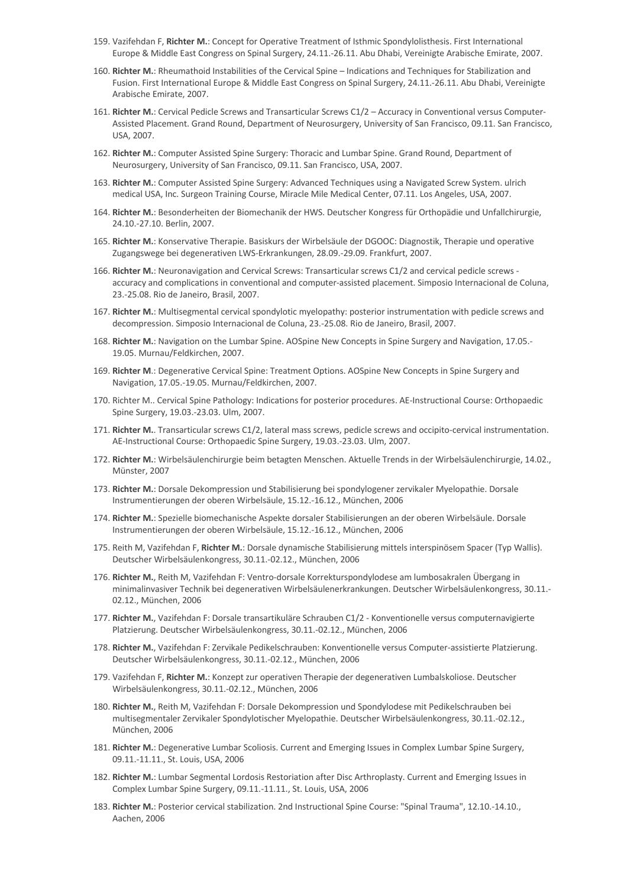- 159. Vazifehdan F, **Richter M.**: Concept for Operative Treatment of Isthmic Spondylolisthesis. First International Europe & Middle East Congress on Spinal Surgery, 24.11.-26.11. Abu Dhabi, Vereinigte Arabische Emirate, 2007.
- 160. **Richter M.**: Rheumathoid Instabilities of the Cervical Spine Indications and Techniques for Stabilization and Fusion. First International Europe & Middle East Congress on Spinal Surgery, 24.11.-26.11. Abu Dhabi, Vereinigte Arabische Emirate, 2007.
- 161. **Richter M.**: Cervical Pedicle Screws and Transarticular Screws C1/2 Accuracy in Conventional versus Computer-Assisted Placement. Grand Round, Department of Neurosurgery, University of San Francisco, 09.11. San Francisco, USA, 2007.
- 162. **Richter M.**: Computer Assisted Spine Surgery: Thoracic and Lumbar Spine. Grand Round, Department of Neurosurgery, University of San Francisco, 09.11. San Francisco, USA, 2007.
- 163. **Richter M.**: Computer Assisted Spine Surgery: Advanced Techniques using a Navigated Screw System. ulrich medical USA, Inc. Surgeon Training Course, Miracle Mile Medical Center, 07.11. Los Angeles, USA, 2007.
- 164. **Richter M.**: Besonderheiten der Biomechanik der HWS. Deutscher Kongress für Orthopädie und Unfallchirurgie, 24.10.-27.10. Berlin, 2007.
- 165. **Richter M.**: Konservative Therapie. Basiskurs der Wirbelsäule der DGOOC: Diagnostik, Therapie und operative Zugangswege bei degenerativen LWS-Erkrankungen, 28.09.-29.09. Frankfurt, 2007.
- 166. Richter M.: Neuronavigation and Cervical Screws: Transarticular screws C1/2 and cervical pedicle screws accuracy and complications in conventional and computer-assisted placement. Simposio Internacional de Coluna, 23.-25.08. Rio de Janeiro, Brasil, 2007.
- 167. **Richter M.**: Multisegmental cervical spondylotic myelopathy: posterior instrumentation with pedicle screws and decompression. Simposio Internacional de Coluna, 23.-25.08. Rio de Janeiro, Brasil, 2007.
- 168. **Richter M.**: Navigation on the Lumbar Spine. AOSpine New Concepts in Spine Surgery and Navigation, 17.05.- 19.05. Murnau/Feldkirchen, 2007.
- 169. **Richter M**.: Degenerative Cervical Spine: Treatment Options. AOSpine New Concepts in Spine Surgery and Navigation, 17.05.-19.05. Murnau/Feldkirchen, 2007.
- 170. Richter M.. Cervical Spine Pathology: Indications for posterior procedures. AE-Instructional Course: Orthopaedic Spine Surgery, 19.03.-23.03. Ulm, 2007.
- 171. **Richter M.**. Transarticular screws C1/2, lateral mass screws, pedicle screws and occipito-cervical instrumentation. AE-Instructional Course: Orthopaedic Spine Surgery, 19.03.-23.03. Ulm, 2007.
- 172. **Richter M.**: Wirbelsäulenchirurgie beim betagten Menschen. Aktuelle Trends in der Wirbelsäulenchirurgie, 14.02., Münster, 2007
- 173. **Richter M.**: Dorsale Dekompression und Stabilisierung bei spondylogener zervikaler Myelopathie. Dorsale Instrumentierungen der oberen Wirbelsäule, 15.12.-16.12., München, 2006
- 174. **Richter M.**: Spezielle biomechanische Aspekte dorsaler Stabilisierungen an der oberen Wirbelsäule. Dorsale Instrumentierungen der oberen Wirbelsäule, 15.12.-16.12., München, 2006
- 175. Reith M, Vazifehdan F, **Richter M.**: Dorsale dynamische Stabilisierung mittels interspinösem Spacer (Typ Wallis). Deutscher Wirbelsäulenkongress, 30.11.-02.12., München, 2006
- 176. **Richter M.**, Reith M, Vazifehdan F: Ventro-dorsale Korrekturspondylodese am lumbosakralen Übergang in minimalinvasiver Technik bei degenerativen Wirbelsäulenerkrankungen. Deutscher Wirbelsäulenkongress, 30.11.- 02.12., München, 2006
- 177. **Richter M.**, Vazifehdan F: Dorsale transartikuläre Schrauben C1/2 Konventionelle versus computernavigierte Platzierung. Deutscher Wirbelsäulenkongress, 30.11.-02.12., München, 2006
- 178. **Richter M.**, Vazifehdan F: Zervikale Pedikelschrauben: Konventionelle versus Computer-assistierte Platzierung. Deutscher Wirbelsäulenkongress, 30.11.-02.12., München, 2006
- 179. Vazifehdan F, **Richter M.**: Konzept zur operativen Therapie der degenerativen Lumbalskoliose. Deutscher Wirbelsäulenkongress, 30.11.-02.12., München, 2006
- 180. **Richter M.**, Reith M, Vazifehdan F: Dorsale Dekompression und Spondylodese mit Pedikelschrauben bei multisegmentaler Zervikaler Spondylotischer Myelopathie. Deutscher Wirbelsäulenkongress, 30.11.-02.12., München, 2006
- 181. **Richter M.**: Degenerative Lumbar Scoliosis. Current and Emerging Issues in Complex Lumbar Spine Surgery, 09.11.-11.11., St. Louis, USA, 2006
- 182. **Richter M.**: Lumbar Segmental Lordosis Restoriation after Disc Arthroplasty. Current and Emerging Issues in Complex Lumbar Spine Surgery, 09.11.-11.11., St. Louis, USA, 2006
- 183. **Richter M.**: Posterior cervical stabilization. 2nd Instructional Spine Course: "Spinal Trauma", 12.10.-14.10., Aachen, 2006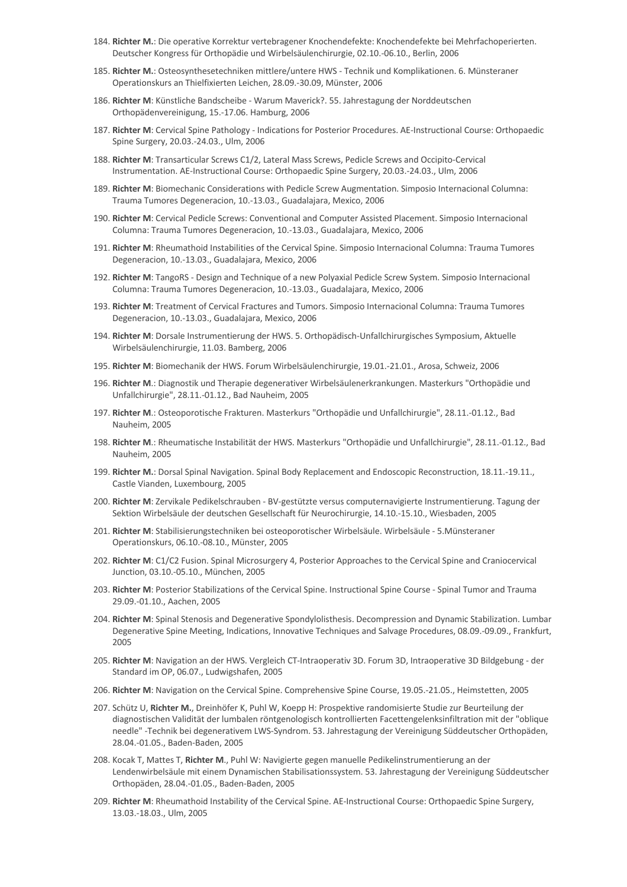- 184. **Richter M.**: Die operative Korrektur vertebragener Knochendefekte: Knochendefekte bei Mehrfachoperierten. Deutscher Kongress für Orthopädie und Wirbelsäulenchirurgie, 02.10.-06.10., Berlin, 2006
- 185. **Richter M.**: Osteosynthesetechniken mittlere/untere HWS Technik und Komplikationen. 6. Münsteraner Operationskurs an Thielfixierten Leichen, 28.09.-30.09, Münster, 2006
- 186. **Richter M**: Künstliche Bandscheibe Warum Maverick?. 55. Jahrestagung der Norddeutschen Orthopädenvereinigung, 15.-17.06. Hamburg, 2006
- 187. **Richter M**: Cervical Spine Pathology Indications for Posterior Procedures. AE-Instructional Course: Orthopaedic Spine Surgery, 20.03.-24.03., Ulm, 2006
- 188. **Richter M**: Transarticular Screws C1/2, Lateral Mass Screws, Pedicle Screws and Occipito-Cervical Instrumentation. AE-Instructional Course: Orthopaedic Spine Surgery, 20.03.-24.03., Ulm, 2006
- 189. **Richter M**: Biomechanic Considerations with Pedicle Screw Augmentation. Simposio Internacional Columna: Trauma Tumores Degeneracion, 10.-13.03., Guadalajara, Mexico, 2006
- 190. **Richter M**: Cervical Pedicle Screws: Conventional and Computer Assisted Placement. Simposio Internacional Columna: Trauma Tumores Degeneracion, 10.-13.03., Guadalajara, Mexico, 2006
- 191. **Richter M**: Rheumathoid Instabilities of the Cervical Spine. Simposio Internacional Columna: Trauma Tumores Degeneracion, 10.-13.03., Guadalajara, Mexico, 2006
- 192. **Richter M**: TangoRS Design and Technique of a new Polyaxial Pedicle Screw System. Simposio Internacional Columna: Trauma Tumores Degeneracion, 10.-13.03., Guadalajara, Mexico, 2006
- 193. **Richter M**: Treatment of Cervical Fractures and Tumors. Simposio Internacional Columna: Trauma Tumores Degeneracion, 10.-13.03., Guadalajara, Mexico, 2006
- 194. **Richter M**: Dorsale Instrumentierung der HWS. 5. Orthopädisch-Unfallchirurgisches Symposium, Aktuelle Wirbelsäulenchirurgie, 11.03. Bamberg, 2006
- 195. **Richter M**: Biomechanik der HWS. Forum Wirbelsäulenchirurgie, 19.01.-21.01., Arosa, Schweiz, 2006
- 196. **Richter M**.: Diagnostik und Therapie degenerativer Wirbelsäulenerkrankungen. Masterkurs "Orthopädie und Unfallchirurgie", 28.11.-01.12., Bad Nauheim, 2005
- 197. **Richter M**.: Osteoporotische Frakturen. Masterkurs "Orthopädie und Unfallchirurgie", 28.11.-01.12., Bad Nauheim, 2005
- 198. **Richter M**.: Rheumatische Instabilität der HWS. Masterkurs "Orthopädie und Unfallchirurgie", 28.11.-01.12., Bad Nauheim, 2005
- 199. **Richter M.**: Dorsal Spinal Navigation. Spinal Body Replacement and Endoscopic Reconstruction, 18.11.-19.11., Castle Vianden, Luxembourg, 2005
- 200. **Richter M**: Zervikale Pedikelschrauben BV-gestützte versus computernavigierte Instrumentierung. Tagung der Sektion Wirbelsäule der deutschen Gesellschaft für Neurochirurgie, 14.10.-15.10., Wiesbaden, 2005
- 201. **Richter M**: Stabilisierungstechniken bei osteoporotischer Wirbelsäule. Wirbelsäule 5.Münsteraner Operationskurs, 06.10.-08.10., Münster, 2005
- 202. **Richter M**: C1/C2 Fusion. Spinal Microsurgery 4, Posterior Approaches to the Cervical Spine and Craniocervical Junction, 03.10.-05.10., München, 2005
- 203. **Richter M**: Posterior Stabilizations of the Cervical Spine. Instructional Spine Course Spinal Tumor and Trauma 29.09.-01.10., Aachen, 2005
- 204. **Richter M**: Spinal Stenosis and Degenerative Spondylolisthesis. Decompression and Dynamic Stabilization. Lumbar Degenerative Spine Meeting, Indications, Innovative Techniques and Salvage Procedures, 08.09.-09.09., Frankfurt, 2005
- 205. **Richter M**: Navigation an der HWS. Vergleich CT-Intraoperativ 3D. Forum 3D, Intraoperative 3D Bildgebung der Standard im OP, 06.07., Ludwigshafen, 2005
- 206. **Richter M**: Navigation on the Cervical Spine. Comprehensive Spine Course, 19.05.-21.05., Heimstetten, 2005
- 207. Schütz U, **Richter M.**, Dreinhöfer K, Puhl W, Koepp H: Prospektive randomisierte Studie zur Beurteilung der diagnostischen Validität der lumbalen röntgenologisch kontrollierten Facettengelenksinfiltration mit der "oblique needle" -Technik bei degenerativem LWS-Syndrom. 53. Jahrestagung der Vereinigung Süddeutscher Orthopäden, 28.04.-01.05., Baden-Baden, 2005
- 208. Kocak T, Mattes T, **Richter M**., Puhl W: Navigierte gegen manuelle Pedikelinstrumentierung an der Lendenwirbelsäule mit einem Dynamischen Stabilisationssystem. 53. Jahrestagung der Vereinigung Süddeutscher Orthopäden, 28.04.-01.05., Baden-Baden, 2005
- 209. **Richter M**: Rheumathoid Instability of the Cervical Spine. AE-Instructional Course: Orthopaedic Spine Surgery, 13.03.-18.03., Ulm, 2005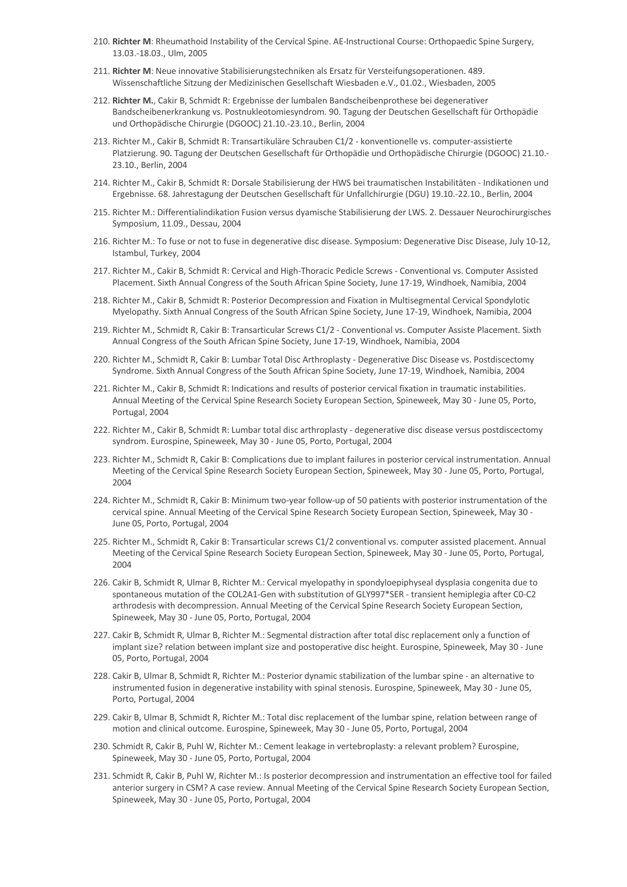- 210. **Richter M**: Rheumathoid Instability of the Cervical Spine. AE-Instructional Course: Orthopaedic Spine Surgery, 13.03.-18.03., Ulm, 2005
- 211. **Richter M**: Neue innovative Stabilisierungstechniken als Ersatz für Versteifungsoperationen. 489. Wissenschaftliche Sitzung der Medizinischen Gesellschaft Wiesbaden e.V., 01.02., Wiesbaden, 2005
- 212. **Richter M.**, Cakir B, Schmidt R: Ergebnisse der lumbalen Bandscheibenprothese bei degenerativer Bandscheibenerkrankung vs. Postnukleotomiesyndrom. 90. Tagung der Deutschen Gesellschaft für Orthopädie und Orthopädische Chirurgie (DGOOC) 21.10.-23.10., Berlin, 2004
- 213. Richter M., Cakir B, Schmidt R: Transartikuläre Schrauben C1/2 konventionelle vs. computer-assistierte Platzierung. 90. Tagung der Deutschen Gesellschaft für Orthopädie und Orthopädische Chirurgie (DGOOC) 21.10.- 23.10., Berlin, 2004
- 214. Richter M., Cakir B, Schmidt R: Dorsale Stabilisierung der HWS bei traumatischen Instabilitäten Indikationen und Ergebnisse. 68. Jahrestagung der Deutschen Gesellschaft für Unfallchirurgie (DGU) 19.10.-22.10., Berlin, 2004
- 215. Richter M.: Differentialindikation Fusion versus dyamische Stabilisierung der LWS. 2. Dessauer Neurochirurgisches Symposium, 11.09., Dessau, 2004
- 216. Richter M.: To fuse or not to fuse in degenerative disc disease. Symposium: Degenerative Disc Disease, July 10-12, Istambul, Turkey, 2004
- 217. Richter M., Cakir B, Schmidt R: Cervical and High-Thoracic Pedicle Screws Conventional vs. Computer Assisted Placement. Sixth Annual Congress of the South African Spine Society, June 17-19, Windhoek, Namibia, 2004
- 218. Richter M., Cakir B, Schmidt R: Posterior Decompression and Fixation in Multisegmental Cervical Spondylotic Myelopathy. Sixth Annual Congress of the South African Spine Society, June 17-19, Windhoek, Namibia, 2004
- 219. Richter M., Schmidt R, Cakir B: Transarticular Screws C1/2 Conventional vs. Computer Assiste Placement. Sixth Annual Congress of the South African Spine Society, June 17-19, Windhoek, Namibia, 2004
- 220. Richter M., Schmidt R, Cakir B: Lumbar Total Disc Arthroplasty Degenerative Disc Disease vs. Postdiscectomy Syndrome. Sixth Annual Congress of the South African Spine Society, June 17-19, Windhoek, Namibia, 2004
- 221. Richter M., Cakir B, Schmidt R: Indications and results of posterior cervical fixation in traumatic instabilities. Annual Meeting of the Cervical Spine Research Society European Section, Spineweek, May 30 - June 05, Porto, Portugal, 2004
- 222. Richter M., Cakir B, Schmidt R: Lumbar total disc arthroplasty degenerative disc disease versus postdiscectomy syndrom. Eurospine, Spineweek, May 30 - June 05, Porto, Portugal, 2004
- 223. Richter M., Schmidt R, Cakir B: Complications due to implant failures in posterior cervical instrumentation. Annual Meeting of the Cervical Spine Research Society European Section, Spineweek, May 30 - June 05, Porto, Portugal, 2004
- 224. Richter M., Schmidt R, Cakir B: Minimum two-year follow-up of 50 patients with posterior instrumentation of the cervical spine. Annual Meeting of the Cervical Spine Research Society European Section, Spineweek, May 30 - June 05, Porto, Portugal, 2004
- 225. Richter M., Schmidt R, Cakir B: Transarticular screws C1/2 conventional vs. computer assisted placement. Annual Meeting of the Cervical Spine Research Society European Section, Spineweek, May 30 - June 05, Porto, Portugal, 2004
- 226. Cakir B, Schmidt R, Ulmar B, Richter M.: Cervical myelopathy in spondyloepiphyseal dysplasia congenita due to spontaneous mutation of the COL2A1-Gen with substitution of GLY997\*SER - transient hemiplegia after C0-C2 arthrodesis with decompression. Annual Meeting of the Cervical Spine Research Society European Section, Spineweek, May 30 - June 05, Porto, Portugal, 2004
- 227. Cakir B, Schmidt R, Ulmar B, Richter M.: Segmental distraction after total disc replacement only a function of implant size? relation between implant size and postoperative disc height. Eurospine, Spineweek, May 30 - June 05, Porto, Portugal, 2004
- 228. Cakir B, Ulmar B, Schmidt R, Richter M.: Posterior dynamic stabilization of the lumbar spine an alternative to instrumented fusion in degenerative instability with spinal stenosis. Eurospine, Spineweek, May 30 - June 05, Porto, Portugal, 2004
- 229. Cakir B, Ulmar B, Schmidt R, Richter M.: Total disc replacement of the lumbar spine, relation between range of motion and clinical outcome. Eurospine, Spineweek, May 30 - June 05, Porto, Portugal, 2004
- 230. Schmidt R, Cakir B, Puhl W, Richter M.: Cement leakage in vertebroplasty: a relevant problem? Eurospine, Spineweek, May 30 - June 05, Porto, Portugal, 2004
- 231. Schmidt R, Cakir B, Puhl W, Richter M.: Is posterior decompression and instrumentation an effective tool for failed anterior surgery in CSM? A case review. Annual Meeting of the Cervical Spine Research Society European Section, Spineweek, May 30 - June 05, Porto, Portugal, 2004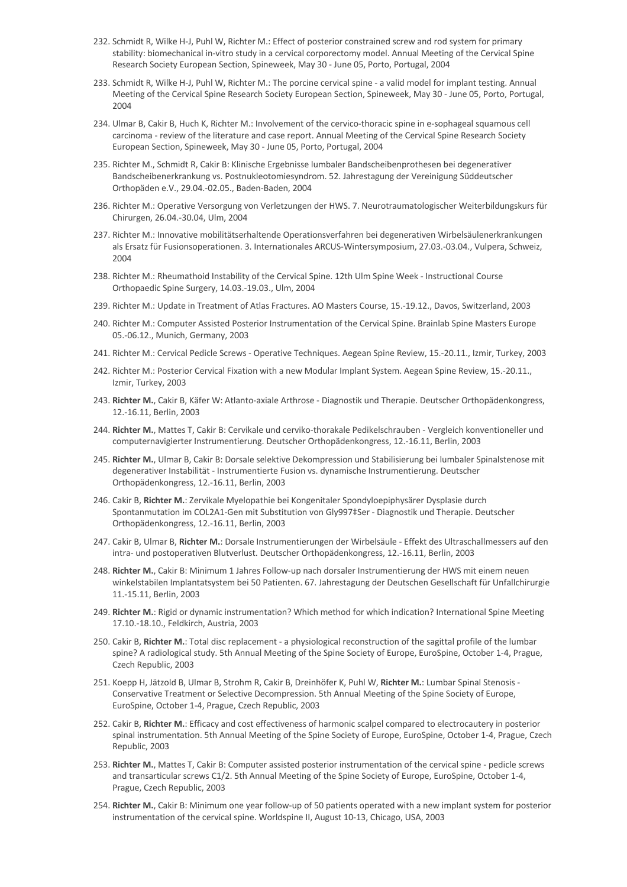- 232. Schmidt R, Wilke H-J, Puhl W, Richter M.: Effect of posterior constrained screw and rod system for primary stability: biomechanical in-vitro study in a cervical corporectomy model. Annual Meeting of the Cervical Spine Research Society European Section, Spineweek, May 30 - June 05, Porto, Portugal, 2004
- 233. Schmidt R, Wilke H-J, Puhl W, Richter M.: The porcine cervical spine a valid model for implant testing. Annual Meeting of the Cervical Spine Research Society European Section, Spineweek, May 30 - June 05, Porto, Portugal, 2004
- 234. Ulmar B, Cakir B, Huch K, Richter M.: Involvement of the cervico-thoracic spine in e-sophageal squamous cell carcinoma - review of the literature and case report. Annual Meeting of the Cervical Spine Research Society European Section, Spineweek, May 30 - June 05, Porto, Portugal, 2004
- 235. Richter M., Schmidt R, Cakir B: Klinische Ergebnisse lumbaler Bandscheibenprothesen bei degenerativer Bandscheibenerkrankung vs. Postnukleotomiesyndrom. 52. Jahrestagung der Vereinigung Süddeutscher Orthopäden e.V., 29.04.-02.05., Baden-Baden, 2004
- 236. Richter M.: Operative Versorgung von Verletzungen der HWS. 7. Neurotraumatologischer Weiterbildungskurs für Chirurgen, 26.04.-30.04, Ulm, 2004
- 237. Richter M.: Innovative mobilitätserhaltende Operationsverfahren bei degenerativen Wirbelsäulenerkrankungen als Ersatz für Fusionsoperationen. 3. Internationales ARCUS-Wintersymposium, 27.03.-03.04., Vulpera, Schweiz, 2004
- 238. Richter M.: Rheumathoid Instability of the Cervical Spine. 12th Ulm Spine Week Instructional Course Orthopaedic Spine Surgery, 14.03.-19.03., Ulm, 2004
- 239. Richter M.: Update in Treatment of Atlas Fractures. AO Masters Course, 15.-19.12., Davos, Switzerland, 2003
- 240. Richter M.: Computer Assisted Posterior Instrumentation of the Cervical Spine. Brainlab Spine Masters Europe 05.-06.12., Munich, Germany, 2003
- 241. Richter M.: Cervical Pedicle Screws Operative Techniques. Aegean Spine Review, 15.-20.11., Izmir, Turkey, 2003
- 242. Richter M.: Posterior Cervical Fixation with a new Modular Implant System. Aegean Spine Review, 15.-20.11., Izmir, Turkey, 2003
- 243. **Richter M.**, Cakir B, Käfer W: Atlanto-axiale Arthrose Diagnostik und Therapie. Deutscher Orthopädenkongress, 12.-16.11, Berlin, 2003
- 244. **Richter M.**, Mattes T, Cakir B: Cervikale und cerviko-thorakale Pedikelschrauben Vergleich konventioneller und computernavigierter Instrumentierung. Deutscher Orthopädenkongress, 12.-16.11, Berlin, 2003
- 245. **Richter M.**, Ulmar B, Cakir B: Dorsale selektive Dekompression und Stabilisierung bei lumbaler Spinalstenose mit degenerativer Instabilität - Instrumentierte Fusion vs. dynamische Instrumentierung. Deutscher Orthopädenkongress, 12.-16.11, Berlin, 2003
- 246. Cakir B, **Richter M.**: Zervikale Myelopathie bei Kongenitaler Spondyloepiphysärer Dysplasie durch Spontanmutation im COL2A1-Gen mit Substitution von Gly997‡Ser - Diagnostik und Therapie. Deutscher Orthopädenkongress, 12.-16.11, Berlin, 2003
- 247. Cakir B, Ulmar B, **Richter M.**: Dorsale Instrumentierungen der Wirbelsäule Effekt des Ultraschallmessers auf den intra- und postoperativen Blutverlust. Deutscher Orthopädenkongress, 12.-16.11, Berlin, 2003
- 248. **Richter M.**, Cakir B: Minimum 1 Jahres Follow-up nach dorsaler Instrumentierung der HWS mit einem neuen winkelstabilen Implantatsystem bei 50 Patienten. 67. Jahrestagung der Deutschen Gesellschaft für Unfallchirurgie 11.-15.11, Berlin, 2003
- 249. **Richter M.**: Rigid or dynamic instrumentation? Which method for which indication? International Spine Meeting 17.10.-18.10., Feldkirch, Austria, 2003
- 250. Cakir B, **Richter M.**: Total disc replacement a physiological reconstruction of the sagittal profile of the lumbar spine? A radiological study. 5th Annual Meeting of the Spine Society of Europe, EuroSpine, October 1-4, Prague, Czech Republic, 2003
- 251. Koepp H, Jätzold B, Ulmar B, Strohm R, Cakir B, Dreinhöfer K, Puhl W, **Richter M.**: Lumbar Spinal Stenosis Conservative Treatment or Selective Decompression. 5th Annual Meeting of the Spine Society of Europe, EuroSpine, October 1-4, Prague, Czech Republic, 2003
- 252. Cakir B, **Richter M.**: Efficacy and cost effectiveness of harmonic scalpel compared to electrocautery in posterior spinal instrumentation. 5th Annual Meeting of the Spine Society of Europe, EuroSpine, October 1-4, Prague, Czech Republic, 2003
- 253. **Richter M.**, Mattes T, Cakir B: Computer assisted posterior instrumentation of the cervical spine pedicle screws and transarticular screws C1/2. 5th Annual Meeting of the Spine Society of Europe, EuroSpine, October 1-4, Prague, Czech Republic, 2003
- 254. **Richter M.**, Cakir B: Minimum one year follow-up of 50 patients operated with a new implant system for posterior instrumentation of the cervical spine. Worldspine II, August 10-13, Chicago, USA, 2003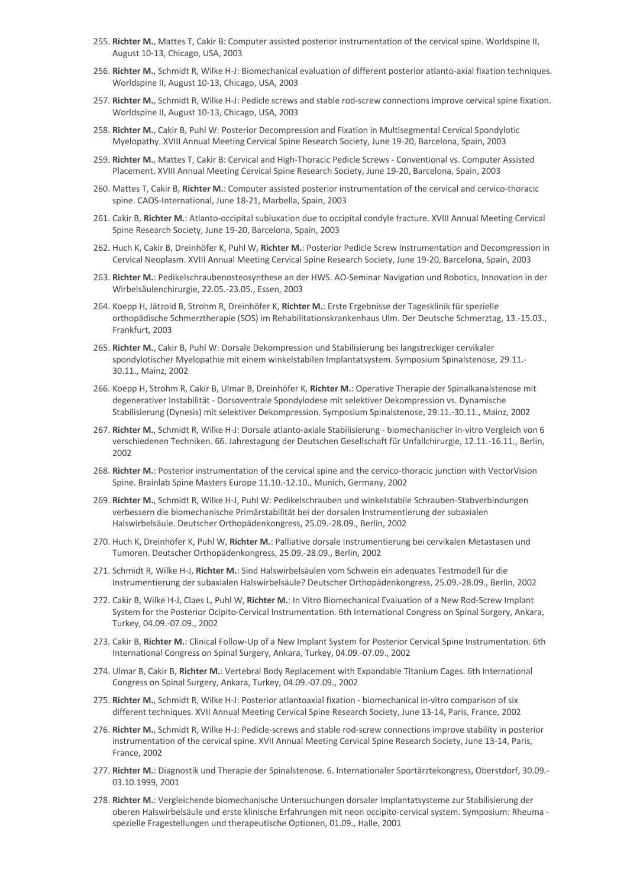- 255. **Richter M.**, Mattes T, Cakir B: Computer assisted posterior instrumentation of the cervical spine. Worldspine II, August 10-13, Chicago, USA, 2003
- 256. **Richter M.**, Schmidt R, Wilke H-J: Biomechanical evaluation of different posterior atlanto-axial fixation techniques. Worldspine II, August 10-13, Chicago, USA, 2003
- 257. **Richter M.**, Schmidt R, Wilke H-J: Pedicle screws and stable rod-screw connections improve cervical spine fixation. Worldspine II, August 10-13, Chicago, USA, 2003
- 258. **Richter M.**, Cakir B, Puhl W: Posterior Decompression and Fixation in Multisegmental Cervical Spondylotic Myelopathy. XVIII Annual Meeting Cervical Spine Research Society, June 19-20, Barcelona, Spain, 2003
- 259. **Richter M.**, Mattes T, Cakir B: Cervical and High-Thoracic Pedicle Screws Conventional vs. Computer Assisted Placement. XVIII Annual Meeting Cervical Spine Research Society, June 19-20, Barcelona, Spain, 2003
- 260. Mattes T, Cakir B, **Richter M.**: Computer assisted posterior instrumentation of the cervical and cervico-thoracic spine. CAOS-International, June 18-21, Marbella, Spain, 2003
- 261. Cakir B, **Richter M.**: Atlanto-occipital subluxation due to occipital condyle fracture. XVIII Annual Meeting Cervical Spine Research Society, June 19-20, Barcelona, Spain, 2003
- 262. Huch K, Cakir B, Dreinhöfer K, Puhl W, **Richter M.**: Posterior Pedicle Screw Instrumentation and Decompression in Cervical Neoplasm. XVIII Annual Meeting Cervical Spine Research Society, June 19-20, Barcelona, Spain, 2003
- 263. **Richter M.**: Pedikelschraubenosteosynthese an der HWS. AO-Seminar Navigation und Robotics, Innovation in der Wirbelsäulenchirurgie, 22.05.-23.05., Essen, 2003
- 264. Koepp H, Jätzold B, Strohm R, Dreinhöfer K, **Richter M.**: Erste Ergebnisse der Tagesklinik für spezielle orthopädische Schmerztherapie (SOS) im Rehabilitationskrankenhaus Ulm. Der Deutsche Schmerztag, 13.-15.03., Frankfurt, 2003
- 265. **Richter M.**, Cakir B, Puhl W: Dorsale Dekompression und Stabilisierung bei langstreckiger cervikaler spondylotischer Myelopathie mit einem winkelstabilen Implantatsystem. Symposium Spinalstenose, 29.11.- 30.11., Mainz, 2002
- 266. Koepp H, Strohm R, Cakir B, Ulmar B, Dreinhöfer K, **Richter M.**: Operative Therapie der Spinalkanalstenose mit degenerativer Instabilität - Dorsoventrale Spondylodese mit selektiver Dekompression vs. Dynamische Stabilisierung (Dynesis) mit selektiver Dekompression. Symposium Spinalstenose, 29.11.-30.11., Mainz, 2002
- 267. **Richter M.**, Schmidt R, Wilke H-J: Dorsale atlanto-axiale Stabilisierung biomechanischer in-vitro Vergleich von 6 verschiedenen Techniken. 66. Jahrestagung der Deutschen Gesellschaft für Unfallchirurgie, 12.11.-16.11., Berlin, 2002
- 268. **Richter M.**: Posterior instrumentation of the cervical spine and the cervico-thoracic junction with VectorVision Spine. Brainlab Spine Masters Europe 11.10.-12.10., Munich, Germany, 2002
- 269. **Richter M.**, Schmidt R, Wilke H-J, Puhl W: Pedikelschrauben und winkelstabile Schrauben-Stabverbindungen verbessern die biomechanische Primärstabilität bei der dorsalen Instrumentierung der subaxialen Halswirbelsäule. Deutscher Orthopädenkongress, 25.09.-28.09., Berlin, 2002
- 270. Huch K, Dreinhöfer K, Puhl W, **Richter M.**: Palliative dorsale Instrumentierung bei cervikalen Metastasen und Tumoren. Deutscher Orthopädenkongress, 25.09.-28.09., Berlin, 2002
- 271. Schmidt R, Wilke H-J, **Richter M.**: Sind Halswirbelsäulen vom Schwein ein adequates Testmodell für die Instrumentierung der subaxialen Halswirbelsäule? Deutscher Orthopädenkongress, 25.09.-28.09., Berlin, 2002
- 272. Cakir B, Wilke H-J, Claes L, Puhl W, **Richter M.**: In Vitro Biomechanical Evaluation of a New Rod-Screw Implant System for the Posterior Ocipito-Cervical Instrumentation. 6th International Congress on Spinal Surgery, Ankara, Turkey, 04.09.-07.09., 2002
- 273. Cakir B, **Richter M.**: Clinical Follow-Up of a New Implant System for Posterior Cervical Spine Instrumentation. 6th International Congress on Spinal Surgery, Ankara, Turkey, 04.09.-07.09., 2002
- 274. Ulmar B, Cakir B, **Richter M.**: Vertebral Body Replacement with Expandable Titanium Cages. 6th International Congress on Spinal Surgery, Ankara, Turkey, 04.09.-07.09., 2002
- 275. **Richter M.**, Schmidt R, Wilke H-J: Posterior atlantoaxial fixation biomechanical in-vitro comparison of six different techniques. XVII Annual Meeting Cervical Spine Research Society, June 13-14, Paris, France, 2002
- 276. **Richter M.**, Schmidt R, Wilke H-J: Pedicle-screws and stable rod-screw connections improve stability in posterior instrumentation of the cervical spine. XVII Annual Meeting Cervical Spine Research Society, June 13-14, Paris, France, 2002
- 277. **Richter M.**: Diagnostik und Therapie der Spinalstenose. 6. Internationaler Sportärztekongress, Oberstdorf, 30.09.- 03.10.1999, 2001
- 278. **Richter M.**: Vergleichende biomechanische Untersuchungen dorsaler Implantatsysteme zur Stabilisierung der oberen Halswirbelsäule und erste klinische Erfahrungen mit neon occipito-cervical system. Symposium: Rheuma spezielle Fragestellungen und therapeutische Optionen, 01.09., Halle, 2001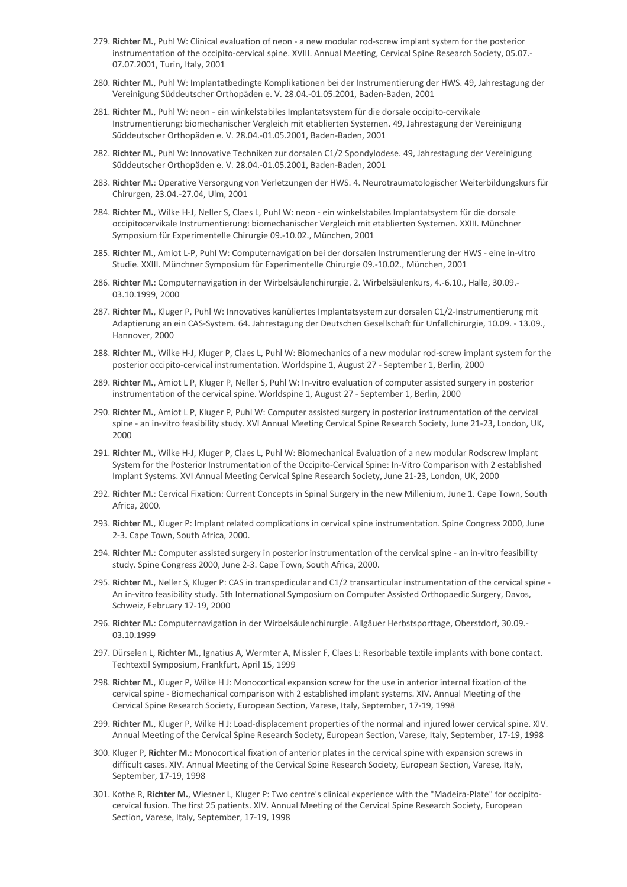- 279. **Richter M.**, Puhl W: Clinical evaluation of neon a new modular rod-screw implant system for the posterior instrumentation of the occipito-cervical spine. XVIII. Annual Meeting, Cervical Spine Research Society, 05.07.- 07.07.2001, Turin, Italy, 2001
- 280. **Richter M.**, Puhl W: Implantatbedingte Komplikationen bei der Instrumentierung der HWS. 49, Jahrestagung der Vereinigung Süddeutscher Orthopäden e. V. 28.04.-01.05.2001, Baden-Baden, 2001
- 281. **Richter M.**, Puhl W: neon ein winkelstabiles Implantatsystem für die dorsale occipito-cervikale Instrumentierung: biomechanischer Vergleich mit etablierten Systemen. 49, Jahrestagung der Vereinigung Süddeutscher Orthopäden e. V. 28.04.-01.05.2001, Baden-Baden, 2001
- 282. **Richter M.**, Puhl W: Innovative Techniken zur dorsalen C1/2 Spondylodese. 49, Jahrestagung der Vereinigung Süddeutscher Orthopäden e. V. 28.04.-01.05.2001, Baden-Baden, 2001
- 283. **Richter M.**: Operative Versorgung von Verletzungen der HWS. 4. Neurotraumatologischer Weiterbildungskurs für Chirurgen, 23.04.-27.04, Ulm, 2001
- 284. **Richter M.**, Wilke H-J, Neller S, Claes L, Puhl W: neon ein winkelstabiles Implantatsystem für die dorsale occipitocervikale Instrumentierung: biomechanischer Vergleich mit etablierten Systemen. XXIII. Münchner Symposium für Experimentelle Chirurgie 09.-10.02., München, 2001
- 285. **Richter M**., Amiot L-P, Puhl W: Computernavigation bei der dorsalen Instrumentierung der HWS eine in-vitro Studie. XXIII. Münchner Symposium für Experimentelle Chirurgie 09.-10.02., München, 2001
- 286. **Richter M.**: Computernavigation in der Wirbelsäulenchirurgie. 2. Wirbelsäulenkurs, 4.-6.10., Halle, 30.09.- 03.10.1999, 2000
- 287. **Richter M.**, Kluger P, Puhl W: Innovatives kanüliertes Implantatsystem zur dorsalen C1/2-Instrumentierung mit Adaptierung an ein CAS-System. 64. Jahrestagung der Deutschen Gesellschaft für Unfallchirurgie, 10.09. - 13.09., Hannover, 2000
- 288. **Richter M.**, Wilke H-J, Kluger P, Claes L, Puhl W: Biomechanics of a new modular rod-screw implant system for the posterior occipito-cervical instrumentation. Worldspine 1, August 27 - September 1, Berlin, 2000
- 289. **Richter M.**, Amiot L P, Kluger P, Neller S, Puhl W: In-vitro evaluation of computer assisted surgery in posterior instrumentation of the cervical spine. Worldspine 1, August 27 - September 1, Berlin, 2000
- 290. **Richter M.**, Amiot L P, Kluger P, Puhl W: Computer assisted surgery in posterior instrumentation of the cervical spine - an in-vitro feasibility study. XVI Annual Meeting Cervical Spine Research Society, June 21-23, London, UK, 2000
- 291. **Richter M.**, Wilke H-J, Kluger P, Claes L, Puhl W: Biomechanical Evaluation of a new modular Rodscrew Implant System for the Posterior Instrumentation of the Occipito-Cervical Spine: In-Vitro Comparison with 2 established Implant Systems. XVI Annual Meeting Cervical Spine Research Society, June 21-23, London, UK, 2000
- 292. **Richter M.**: Cervical Fixation: Current Concepts in Spinal Surgery in the new Millenium, June 1. Cape Town, South Africa, 2000.
- 293. **Richter M.**, Kluger P: Implant related complications in cervical spine instrumentation. Spine Congress 2000, June 2-3. Cape Town, South Africa, 2000.
- 294. **Richter M.**: Computer assisted surgery in posterior instrumentation of the cervical spine an in-vitro feasibility study. Spine Congress 2000, June 2-3. Cape Town, South Africa, 2000.
- 295. **Richter M.**, Neller S, Kluger P: CAS in transpedicular and C1/2 transarticular instrumentation of the cervical spine An in-vitro feasibility study. 5th International Symposium on Computer Assisted Orthopaedic Surgery, Davos, Schweiz, February 17-19, 2000
- 296. **Richter M.**: Computernavigation in der Wirbelsäulenchirurgie. Allgäuer Herbstsporttage, Oberstdorf, 30.09.- 03.10.1999
- 297. Dürselen L, **Richter M.**, Ignatius A, Wermter A, Missler F, Claes L: Resorbable textile implants with bone contact. Techtextil Symposium, Frankfurt, April 15, 1999
- 298. **Richter M.**, Kluger P, Wilke H J: Monocortical expansion screw for the use in anterior internal fixation of the cervical spine - Biomechanical comparison with 2 established implant systems. XIV. Annual Meeting of the Cervical Spine Research Society, European Section, Varese, Italy, September, 17-19, 1998
- 299. **Richter M.**, Kluger P, Wilke H J: Load-displacement properties of the normal and injured lower cervical spine. XIV. Annual Meeting of the Cervical Spine Research Society, European Section, Varese, Italy, September, 17-19, 1998
- 300. Kluger P, **Richter M.**: Monocortical fixation of anterior plates in the cervical spine with expansion screws in difficult cases. XIV. Annual Meeting of the Cervical Spine Research Society, European Section, Varese, Italy, September, 17-19, 1998
- 301. Kothe R, **Richter M.**, Wiesner L, Kluger P: Two centre's clinical experience with the "Madeira-Plate" for occipitocervical fusion. The first 25 patients. XIV. Annual Meeting of the Cervical Spine Research Society, European Section, Varese, Italy, September, 17-19, 1998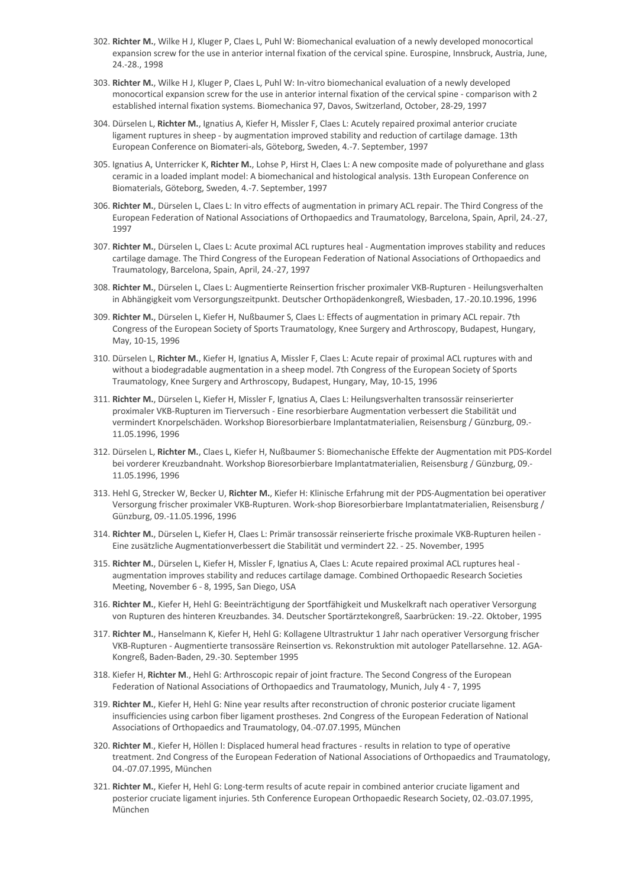- 302. **Richter M.**, Wilke H J, Kluger P, Claes L, Puhl W: Biomechanical evaluation of a newly developed monocortical expansion screw for the use in anterior internal fixation of the cervical spine. Eurospine, Innsbruck, Austria, June, 24.-28., 1998
- 303. **Richter M.**, Wilke H J, Kluger P, Claes L, Puhl W: In-vitro biomechanical evaluation of a newly developed monocortical expansion screw for the use in anterior internal fixation of the cervical spine - comparison with 2 established internal fixation systems. Biomechanica 97, Davos, Switzerland, October, 28-29, 1997
- 304. Dürselen L, **Richter M.**, Ignatius A, Kiefer H, Missler F, Claes L: Acutely repaired proximal anterior cruciate ligament ruptures in sheep - by augmentation improved stability and reduction of cartilage damage. 13th European Conference on Biomateri-als, Göteborg, Sweden, 4.-7. September, 1997
- 305. Ignatius A, Unterricker K, **Richter M.**, Lohse P, Hirst H, Claes L: A new composite made of polyurethane and glass ceramic in a loaded implant model: A biomechanical and histological analysis. 13th European Conference on Biomaterials, Göteborg, Sweden, 4.-7. September, 1997
- 306. **Richter M.**, Dürselen L, Claes L: In vitro effects of augmentation in primary ACL repair. The Third Congress of the European Federation of National Associations of Orthopaedics and Traumatology, Barcelona, Spain, April, 24.-27, 1997
- 307. **Richter M.**, Dürselen L, Claes L: Acute proximal ACL ruptures heal Augmentation improves stability and reduces cartilage damage. The Third Congress of the European Federation of National Associations of Orthopaedics and Traumatology, Barcelona, Spain, April, 24.-27, 1997
- 308. **Richter M.**, Dürselen L, Claes L: Augmentierte Reinsertion frischer proximaler VKB-Rupturen Heilungsverhalten in Abhängigkeit vom Versorgungszeitpunkt. Deutscher Orthopädenkongreß, Wiesbaden, 17.-20.10.1996, 1996
- 309. **Richter M.**, Dürselen L, Kiefer H, Nußbaumer S, Claes L: Effects of augmentation in primary ACL repair. 7th Congress of the European Society of Sports Traumatology, Knee Surgery and Arthroscopy, Budapest, Hungary, May, 10-15, 1996
- 310. Dürselen L, **Richter M.**, Kiefer H, Ignatius A, Missler F, Claes L: Acute repair of proximal ACL ruptures with and without a biodegradable augmentation in a sheep model. 7th Congress of the European Society of Sports Traumatology, Knee Surgery and Arthroscopy, Budapest, Hungary, May, 10-15, 1996
- 311. **Richter M.**, Dürselen L, Kiefer H, Missler F, Ignatius A, Claes L: Heilungsverhalten transossär reinserierter proximaler VKB-Rupturen im Tierversuch - Eine resorbierbare Augmentation verbessert die Stabilität und vermindert Knorpelschäden. Workshop Bioresorbierbare Implantatmaterialien, Reisensburg / Günzburg, 09.- 11.05.1996, 1996
- 312. Dürselen L, **Richter M.**, Claes L, Kiefer H, Nußbaumer S: Biomechanische Effekte der Augmentation mit PDS-Kordel bei vorderer Kreuzbandnaht. Workshop Bioresorbierbare Implantatmaterialien, Reisensburg / Günzburg, 09.- 11.05.1996, 1996
- 313. Hehl G, Strecker W, Becker U, **Richter M.**, Kiefer H: Klinische Erfahrung mit der PDS-Augmentation bei operativer Versorgung frischer proximaler VKB-Rupturen. Work-shop Bioresorbierbare Implantatmaterialien, Reisensburg / Günzburg, 09.-11.05.1996, 1996
- 314. **Richter M.**, Dürselen L, Kiefer H, Claes L: Primär transossär reinserierte frische proximale VKB-Rupturen heilen Eine zusätzliche Augmentationverbessert die Stabilität und vermindert 22. - 25. November, 1995
- 315. **Richter M.**, Dürselen L, Kiefer H, Missler F, Ignatius A, Claes L: Acute repaired proximal ACL ruptures heal augmentation improves stability and reduces cartilage damage. Combined Orthopaedic Research Societies Meeting, November 6 - 8, 1995, San Diego, USA
- 316. **Richter M.**, Kiefer H, Hehl G: Beeinträchtigung der Sportfähigkeit und Muskelkraft nach operativer Versorgung von Rupturen des hinteren Kreuzbandes. 34. Deutscher Sportärztekongreß, Saarbrücken: 19.-22. Oktober, 1995
- 317. **Richter M.**, Hanselmann K, Kiefer H, Hehl G: Kollagene Ultrastruktur 1 Jahr nach operativer Versorgung frischer VKB-Rupturen - Augmentierte transossäre Reinsertion vs. Rekonstruktion mit autologer Patellarsehne. 12. AGA-Kongreß, Baden-Baden, 29.-30. September 1995
- 318. Kiefer H, **Richter M**., Hehl G: Arthroscopic repair of joint fracture. The Second Congress of the European Federation of National Associations of Orthopaedics and Traumatology, Munich, July 4 - 7, 1995
- 319. **Richter M.**, Kiefer H, Hehl G: Nine year results after reconstruction of chronic posterior cruciate ligament insufficiencies using carbon fiber ligament prostheses. 2nd Congress of the European Federation of National Associations of Orthopaedics and Traumatology, 04.-07.07.1995, München
- 320. **Richter M**., Kiefer H, Höllen I: Displaced humeral head fractures results in relation to type of operative treatment. 2nd Congress of the European Federation of National Associations of Orthopaedics and Traumatology, 04.-07.07.1995, München
- 321. **Richter M.**, Kiefer H, Hehl G: Long-term results of acute repair in combined anterior cruciate ligament and posterior cruciate ligament injuries. 5th Conference European Orthopaedic Research Society, 02.-03.07.1995, München